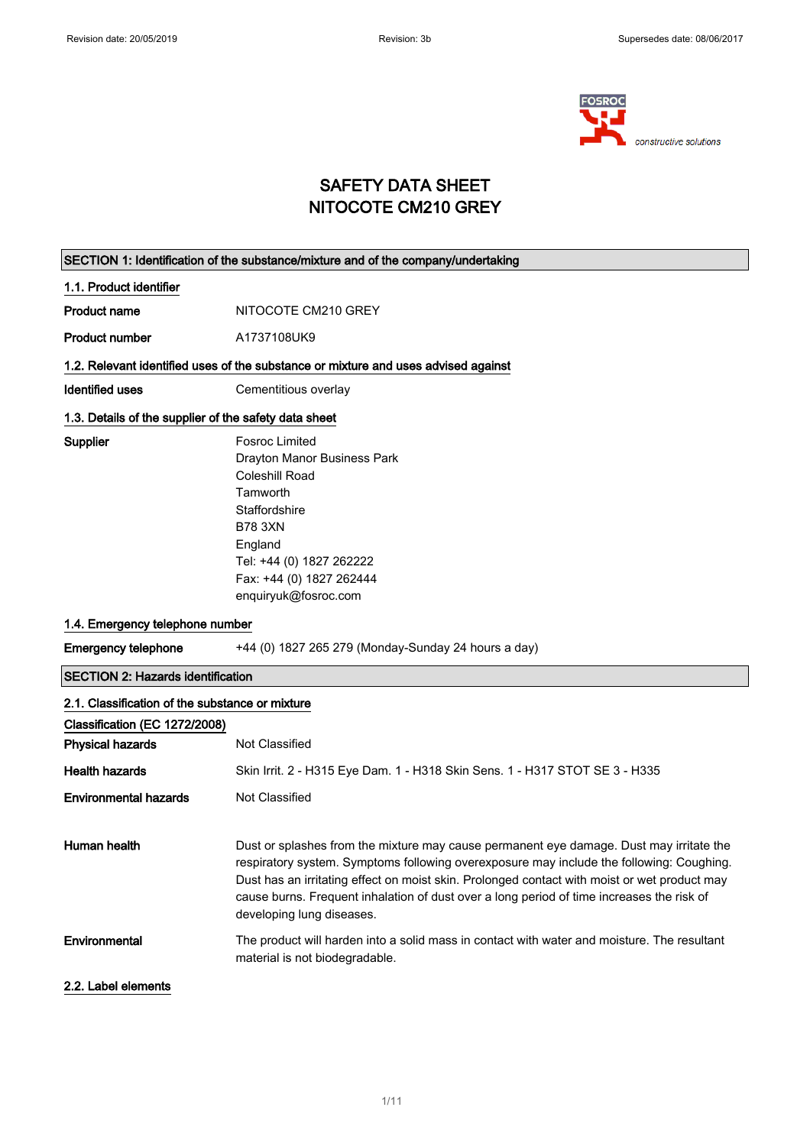

## SAFETY DATA SHEET NITOCOTE CM210 GREY

| SECTION 1: Identification of the substance/mixture and of the company/undertaking |                                                                                                                                                                                                                                                                                                                                                                                                               |  |  |  |
|-----------------------------------------------------------------------------------|---------------------------------------------------------------------------------------------------------------------------------------------------------------------------------------------------------------------------------------------------------------------------------------------------------------------------------------------------------------------------------------------------------------|--|--|--|
| 1.1. Product identifier                                                           |                                                                                                                                                                                                                                                                                                                                                                                                               |  |  |  |
| <b>Product name</b>                                                               | NITOCOTE CM210 GREY                                                                                                                                                                                                                                                                                                                                                                                           |  |  |  |
| <b>Product number</b>                                                             | A1737108UK9                                                                                                                                                                                                                                                                                                                                                                                                   |  |  |  |
|                                                                                   | 1.2. Relevant identified uses of the substance or mixture and uses advised against                                                                                                                                                                                                                                                                                                                            |  |  |  |
| <b>Identified uses</b>                                                            | Cementitious overlay                                                                                                                                                                                                                                                                                                                                                                                          |  |  |  |
| 1.3. Details of the supplier of the safety data sheet                             |                                                                                                                                                                                                                                                                                                                                                                                                               |  |  |  |
| Supplier                                                                          | <b>Fosroc Limited</b><br>Drayton Manor Business Park<br>Coleshill Road<br>Tamworth<br>Staffordshire<br><b>B78 3XN</b><br>England<br>Tel: +44 (0) 1827 262222<br>Fax: +44 (0) 1827 262444<br>enquiryuk@fosroc.com                                                                                                                                                                                              |  |  |  |
| 1.4. Emergency telephone number                                                   |                                                                                                                                                                                                                                                                                                                                                                                                               |  |  |  |
| <b>Emergency telephone</b>                                                        | +44 (0) 1827 265 279 (Monday-Sunday 24 hours a day)                                                                                                                                                                                                                                                                                                                                                           |  |  |  |
| <b>SECTION 2: Hazards identification</b>                                          |                                                                                                                                                                                                                                                                                                                                                                                                               |  |  |  |
| 2.1. Classification of the substance or mixture                                   |                                                                                                                                                                                                                                                                                                                                                                                                               |  |  |  |
| Classification (EC 1272/2008)                                                     |                                                                                                                                                                                                                                                                                                                                                                                                               |  |  |  |
| <b>Physical hazards</b>                                                           | Not Classified                                                                                                                                                                                                                                                                                                                                                                                                |  |  |  |
| <b>Health hazards</b>                                                             | Skin Irrit. 2 - H315 Eye Dam. 1 - H318 Skin Sens. 1 - H317 STOT SE 3 - H335                                                                                                                                                                                                                                                                                                                                   |  |  |  |
| <b>Environmental hazards</b>                                                      | Not Classified                                                                                                                                                                                                                                                                                                                                                                                                |  |  |  |
| <b>Human health</b>                                                               | Dust or splashes from the mixture may cause permanent eye damage. Dust may irritate the<br>respiratory system. Symptoms following overexposure may include the following: Coughing.<br>Dust has an irritating effect on moist skin. Prolonged contact with moist or wet product may<br>cause burns. Frequent inhalation of dust over a long period of time increases the risk of<br>developing lung diseases. |  |  |  |
| Environmental                                                                     | The product will harden into a solid mass in contact with water and moisture. The resultant<br>material is not biodegradable.                                                                                                                                                                                                                                                                                 |  |  |  |
| 2.2. Label elements                                                               |                                                                                                                                                                                                                                                                                                                                                                                                               |  |  |  |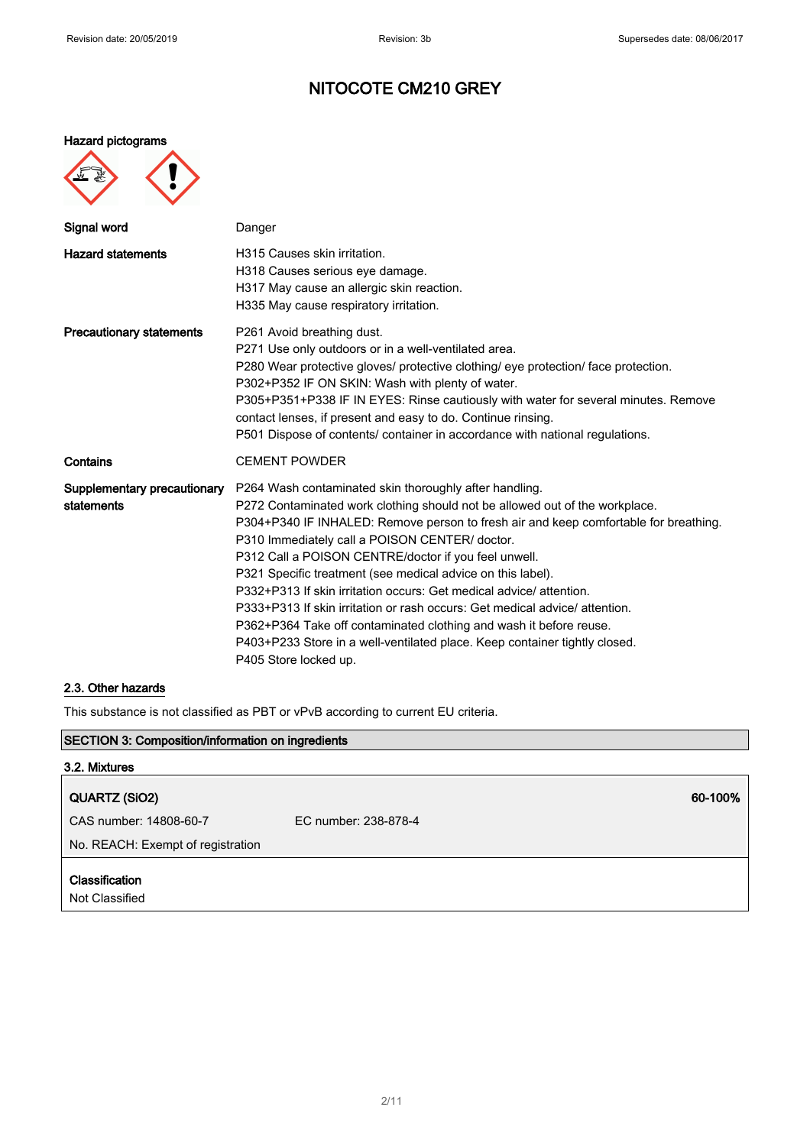### Hazard pictograms



| Signal word                               | Danger                                                                                                                                                                                                                                                                                                                                                                                                                                                                                                                                                                                                                                                                                                                                  |
|-------------------------------------------|-----------------------------------------------------------------------------------------------------------------------------------------------------------------------------------------------------------------------------------------------------------------------------------------------------------------------------------------------------------------------------------------------------------------------------------------------------------------------------------------------------------------------------------------------------------------------------------------------------------------------------------------------------------------------------------------------------------------------------------------|
| <b>Hazard statements</b>                  | H315 Causes skin irritation.<br>H318 Causes serious eye damage.<br>H317 May cause an allergic skin reaction.<br>H335 May cause respiratory irritation.                                                                                                                                                                                                                                                                                                                                                                                                                                                                                                                                                                                  |
| <b>Precautionary statements</b>           | P261 Avoid breathing dust.<br>P271 Use only outdoors or in a well-ventilated area.<br>P280 Wear protective gloves/ protective clothing/ eye protection/ face protection.<br>P302+P352 IF ON SKIN: Wash with plenty of water.<br>P305+P351+P338 IF IN EYES: Rinse cautiously with water for several minutes. Remove<br>contact lenses, if present and easy to do. Continue rinsing.<br>P501 Dispose of contents/ container in accordance with national regulations.                                                                                                                                                                                                                                                                      |
| Contains                                  | <b>CEMENT POWDER</b>                                                                                                                                                                                                                                                                                                                                                                                                                                                                                                                                                                                                                                                                                                                    |
| Supplementary precautionary<br>statements | P264 Wash contaminated skin thoroughly after handling.<br>P272 Contaminated work clothing should not be allowed out of the workplace.<br>P304+P340 IF INHALED: Remove person to fresh air and keep comfortable for breathing.<br>P310 Immediately call a POISON CENTER/ doctor.<br>P312 Call a POISON CENTRE/doctor if you feel unwell.<br>P321 Specific treatment (see medical advice on this label).<br>P332+P313 If skin irritation occurs: Get medical advice/attention.<br>P333+P313 If skin irritation or rash occurs: Get medical advice/attention.<br>P362+P364 Take off contaminated clothing and wash it before reuse.<br>P403+P233 Store in a well-ventilated place. Keep container tightly closed.<br>P405 Store locked up. |

## 2.3. Other hazards

This substance is not classified as PBT or vPvB according to current EU criteria.

| <b>SECTION 3: Composition/information on ingredients</b> |                      |         |
|----------------------------------------------------------|----------------------|---------|
| 3.2. Mixtures                                            |                      |         |
| QUARTZ (SiO2)                                            |                      | 60-100% |
| CAS number: 14808-60-7                                   | EC number: 238-878-4 |         |
| No. REACH: Exempt of registration                        |                      |         |
| <b>Classification</b><br>Not Classified                  |                      |         |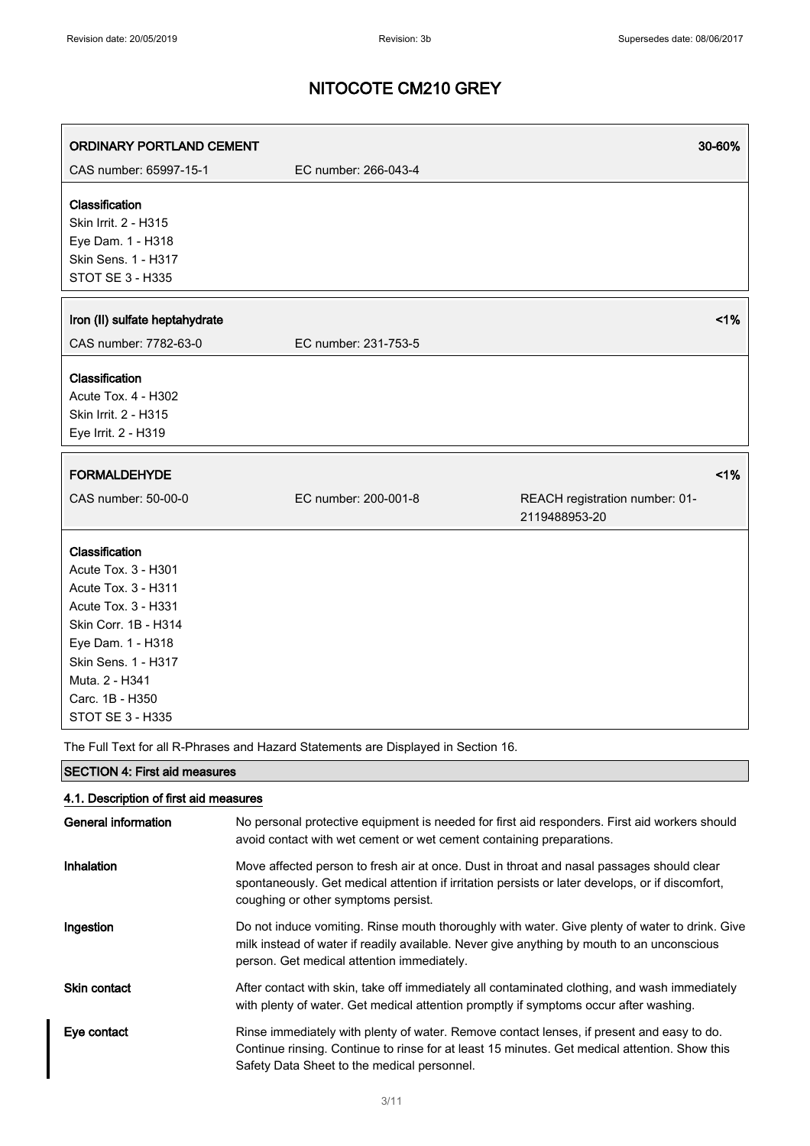| <b>ORDINARY PORTLAND CEMENT</b>                                                                                                                                                                                         |                      | 30-60%                                          |
|-------------------------------------------------------------------------------------------------------------------------------------------------------------------------------------------------------------------------|----------------------|-------------------------------------------------|
| CAS number: 65997-15-1                                                                                                                                                                                                  | EC number: 266-043-4 |                                                 |
| Classification<br>Skin Irrit. 2 - H315<br>Eye Dam. 1 - H318<br>Skin Sens. 1 - H317<br><b>STOT SE 3 - H335</b>                                                                                                           |                      |                                                 |
| Iron (II) sulfate heptahydrate<br>CAS number: 7782-63-0                                                                                                                                                                 | EC number: 231-753-5 | 1%                                              |
| Classification<br>Acute Tox. 4 - H302<br>Skin Irrit. 2 - H315                                                                                                                                                           |                      |                                                 |
| Eye Irrit. 2 - H319                                                                                                                                                                                                     |                      |                                                 |
| <b>FORMALDEHYDE</b>                                                                                                                                                                                                     |                      | 1%                                              |
| CAS number: 50-00-0                                                                                                                                                                                                     | EC number: 200-001-8 | REACH registration number: 01-<br>2119488953-20 |
| Classification<br>Acute Tox. 3 - H301<br>Acute Tox. 3 - H311<br>Acute Tox. 3 - H331<br>Skin Corr. 1B - H314<br>Eye Dam. 1 - H318<br>Skin Sens. 1 - H317<br>Muta. 2 - H341<br>Carc. 1B - H350<br><b>STOT SE 3 - H335</b> |                      |                                                 |

The Full Text for all R-Phrases and Hazard Statements are Displayed in Section 16.

| <b>SECTION 4: First aid measures</b>   |                                                                                                                                                                                                                                            |  |
|----------------------------------------|--------------------------------------------------------------------------------------------------------------------------------------------------------------------------------------------------------------------------------------------|--|
| 4.1. Description of first aid measures |                                                                                                                                                                                                                                            |  |
| General information                    | No personal protective equipment is needed for first aid responders. First aid workers should<br>avoid contact with wet cement or wet cement containing preparations.                                                                      |  |
| Inhalation                             | Move affected person to fresh air at once. Dust in throat and nasal passages should clear<br>spontaneously. Get medical attention if irritation persists or later develops, or if discomfort,<br>coughing or other symptoms persist.       |  |
| Ingestion                              | Do not induce vomiting. Rinse mouth thoroughly with water. Give plenty of water to drink. Give<br>milk instead of water if readily available. Never give anything by mouth to an unconscious<br>person. Get medical attention immediately. |  |
| Skin contact                           | After contact with skin, take off immediately all contaminated clothing, and wash immediately<br>with plenty of water. Get medical attention promptly if symptoms occur after washing.                                                     |  |
| Eye contact                            | Rinse immediately with plenty of water. Remove contact lenses, if present and easy to do.<br>Continue rinsing. Continue to rinse for at least 15 minutes. Get medical attention. Show this<br>Safety Data Sheet to the medical personnel.  |  |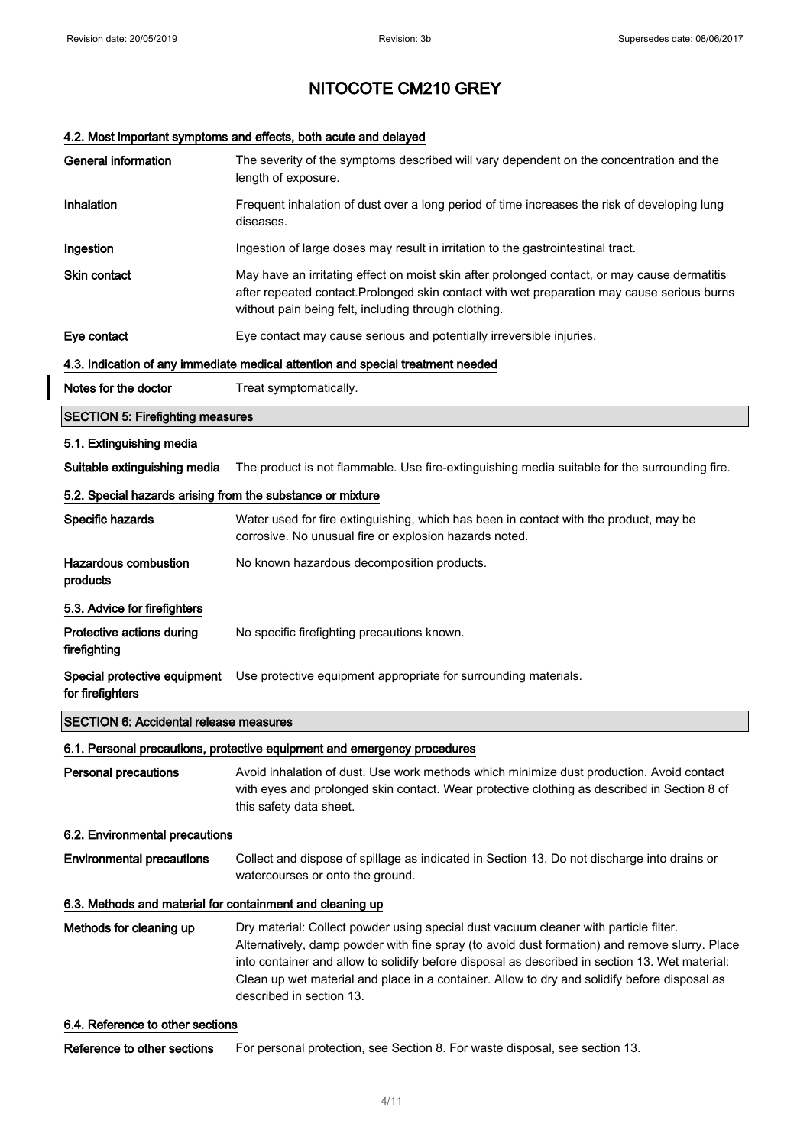$\overline{\phantom{a}}$ 

## NITOCOTE CM210 GREY

## 4.2. Most important symptoms and effects, both acute and delayed

| <b>General information</b>                                 | The severity of the symptoms described will vary dependent on the concentration and the<br>length of exposure.                                                                                                                                                                                                                                                                                                      |  |
|------------------------------------------------------------|---------------------------------------------------------------------------------------------------------------------------------------------------------------------------------------------------------------------------------------------------------------------------------------------------------------------------------------------------------------------------------------------------------------------|--|
| Inhalation                                                 | Frequent inhalation of dust over a long period of time increases the risk of developing lung<br>diseases.                                                                                                                                                                                                                                                                                                           |  |
| Ingestion                                                  | Ingestion of large doses may result in irritation to the gastrointestinal tract.                                                                                                                                                                                                                                                                                                                                    |  |
| Skin contact                                               | May have an irritating effect on moist skin after prolonged contact, or may cause dermatitis<br>after repeated contact. Prolonged skin contact with wet preparation may cause serious burns<br>without pain being felt, including through clothing.                                                                                                                                                                 |  |
| Eye contact                                                | Eye contact may cause serious and potentially irreversible injuries.                                                                                                                                                                                                                                                                                                                                                |  |
|                                                            | 4.3. Indication of any immediate medical attention and special treatment needed                                                                                                                                                                                                                                                                                                                                     |  |
| Notes for the doctor                                       | Treat symptomatically.                                                                                                                                                                                                                                                                                                                                                                                              |  |
| <b>SECTION 5: Firefighting measures</b>                    |                                                                                                                                                                                                                                                                                                                                                                                                                     |  |
| 5.1. Extinguishing media                                   |                                                                                                                                                                                                                                                                                                                                                                                                                     |  |
| Suitable extinguishing media                               | The product is not flammable. Use fire-extinguishing media suitable for the surrounding fire.                                                                                                                                                                                                                                                                                                                       |  |
| 5.2. Special hazards arising from the substance or mixture |                                                                                                                                                                                                                                                                                                                                                                                                                     |  |
| Specific hazards                                           | Water used for fire extinguishing, which has been in contact with the product, may be<br>corrosive. No unusual fire or explosion hazards noted.                                                                                                                                                                                                                                                                     |  |
| <b>Hazardous combustion</b><br>products                    | No known hazardous decomposition products.                                                                                                                                                                                                                                                                                                                                                                          |  |
| 5.3. Advice for firefighters                               |                                                                                                                                                                                                                                                                                                                                                                                                                     |  |
| Protective actions during<br>firefighting                  | No specific firefighting precautions known.                                                                                                                                                                                                                                                                                                                                                                         |  |
| Special protective equipment<br>for firefighters           | Use protective equipment appropriate for surrounding materials.                                                                                                                                                                                                                                                                                                                                                     |  |
| <b>SECTION 6: Accidental release measures</b>              |                                                                                                                                                                                                                                                                                                                                                                                                                     |  |
|                                                            | 6.1. Personal precautions, protective equipment and emergency procedures                                                                                                                                                                                                                                                                                                                                            |  |
| <b>Personal precautions</b>                                | Avoid inhalation of dust. Use work methods which minimize dust production. Avoid contact<br>with eyes and prolonged skin contact. Wear protective clothing as described in Section 8 of<br>this safety data sheet.                                                                                                                                                                                                  |  |
| 6.2. Environmental precautions                             |                                                                                                                                                                                                                                                                                                                                                                                                                     |  |
| <b>Environmental precautions</b>                           | Collect and dispose of spillage as indicated in Section 13. Do not discharge into drains or<br>watercourses or onto the ground.                                                                                                                                                                                                                                                                                     |  |
| 6.3. Methods and material for containment and cleaning up  |                                                                                                                                                                                                                                                                                                                                                                                                                     |  |
| Methods for cleaning up                                    | Dry material: Collect powder using special dust vacuum cleaner with particle filter.<br>Alternatively, damp powder with fine spray (to avoid dust formation) and remove slurry. Place<br>into container and allow to solidify before disposal as described in section 13. Wet material:<br>Clean up wet material and place in a container. Allow to dry and solidify before disposal as<br>described in section 13. |  |
| 6.4. Reference to other sections                           |                                                                                                                                                                                                                                                                                                                                                                                                                     |  |

Reference to other sections For personal protection, see Section 8. For waste disposal, see section 13.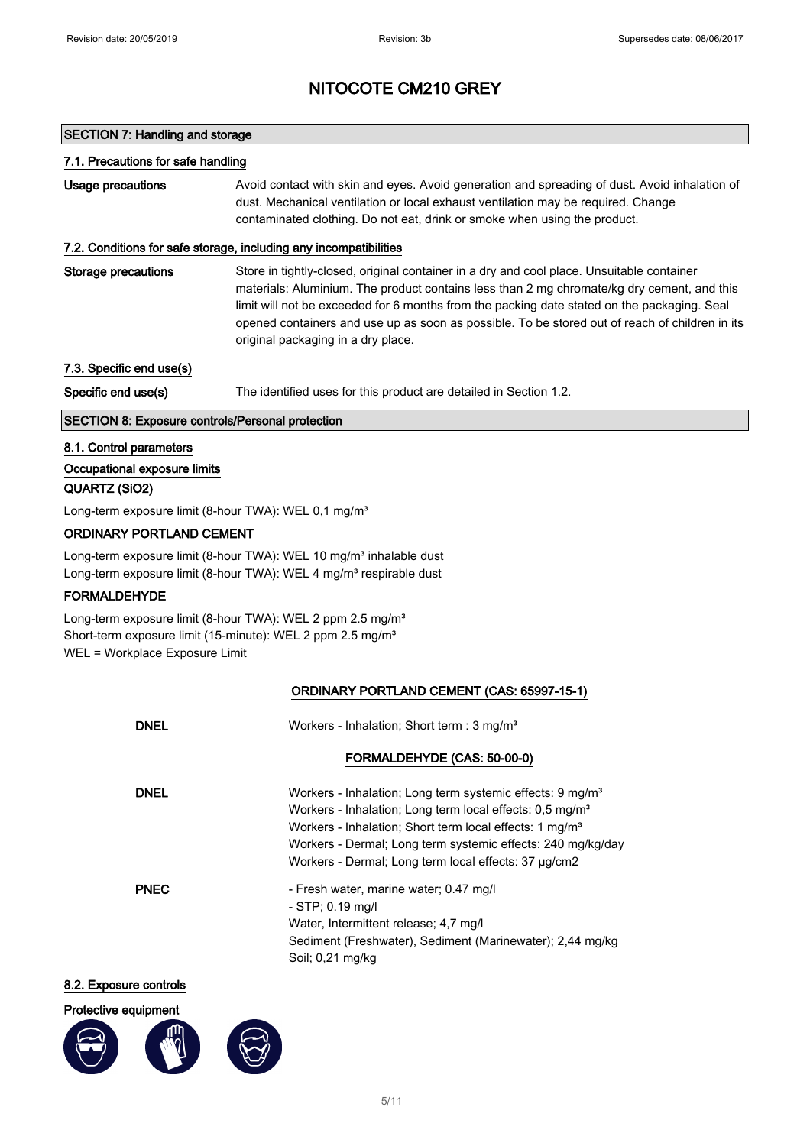## SECTION 7: Handling and storage

### 7.1. Precautions for safe handling

| Usage precautions | Avoid contact with skin and eyes. Avoid generation and spreading of dust. Avoid inhalation of |
|-------------------|-----------------------------------------------------------------------------------------------|
|                   | dust. Mechanical ventilation or local exhaust ventilation may be required. Change             |
|                   | contaminated clothing. Do not eat, drink or smoke when using the product.                     |

### 7.2. Conditions for safe storage, including any incompatibilities

Storage precautions Store in tightly-closed, original container in a dry and cool place. Unsuitable container materials: Aluminium. The product contains less than 2 mg chromate/kg dry cement, and this limit will not be exceeded for 6 months from the packing date stated on the packaging. Seal opened containers and use up as soon as possible. To be stored out of reach of children in its original packaging in a dry place.

7.3. Specific end use(s)

Specific end use(s) The identified uses for this product are detailed in Section 1.2.

## SECTION 8: Exposure controls/Personal protection

### 8.1. Control parameters

## Occupational exposure limits

### QUARTZ (SiO2)

Long-term exposure limit (8-hour TWA): WEL 0,1 mg/m<sup>3</sup>

## ORDINARY PORTLAND CEMENT

Long-term exposure limit (8-hour TWA): WEL 10 mg/m<sup>3</sup> inhalable dust Long-term exposure limit (8-hour TWA): WEL 4 mg/m<sup>3</sup> respirable dust

## FORMALDEHYDE

Long-term exposure limit (8-hour TWA): WEL 2 ppm 2.5 mg/m<sup>3</sup> Short-term exposure limit (15-minute): WEL 2 ppm 2.5 mg/m<sup>3</sup> WEL = Workplace Exposure Limit

## ORDINARY PORTLAND CEMENT (CAS: 65997-15-1)

| <b>DNEL</b> | Workers - Inhalation; Short term : 3 mg/m <sup>3</sup>                                                                                                                                                                                                                                                                                      |
|-------------|---------------------------------------------------------------------------------------------------------------------------------------------------------------------------------------------------------------------------------------------------------------------------------------------------------------------------------------------|
|             | FORMALDEHYDE (CAS: 50-00-0)                                                                                                                                                                                                                                                                                                                 |
| <b>DNEL</b> | Workers - Inhalation; Long term systemic effects: 9 mg/m <sup>3</sup><br>Workers - Inhalation; Long term local effects: 0.5 mg/m <sup>3</sup><br>Workers - Inhalation: Short term local effects: 1 mg/m <sup>3</sup><br>Workers - Dermal; Long term systemic effects: 240 mg/kg/day<br>Workers - Dermal; Long term local effects: 37 µg/cm2 |
| <b>PNEC</b> | - Fresh water, marine water; 0.47 mg/l<br>$-$ STP; 0.19 mg/l<br>Water, Intermittent release; 4,7 mg/l<br>Sediment (Freshwater), Sediment (Marinewater); 2,44 mg/kg<br>Soil; 0,21 mg/kg                                                                                                                                                      |
| -- -------  |                                                                                                                                                                                                                                                                                                                                             |

#### 8.2. Exposure controls





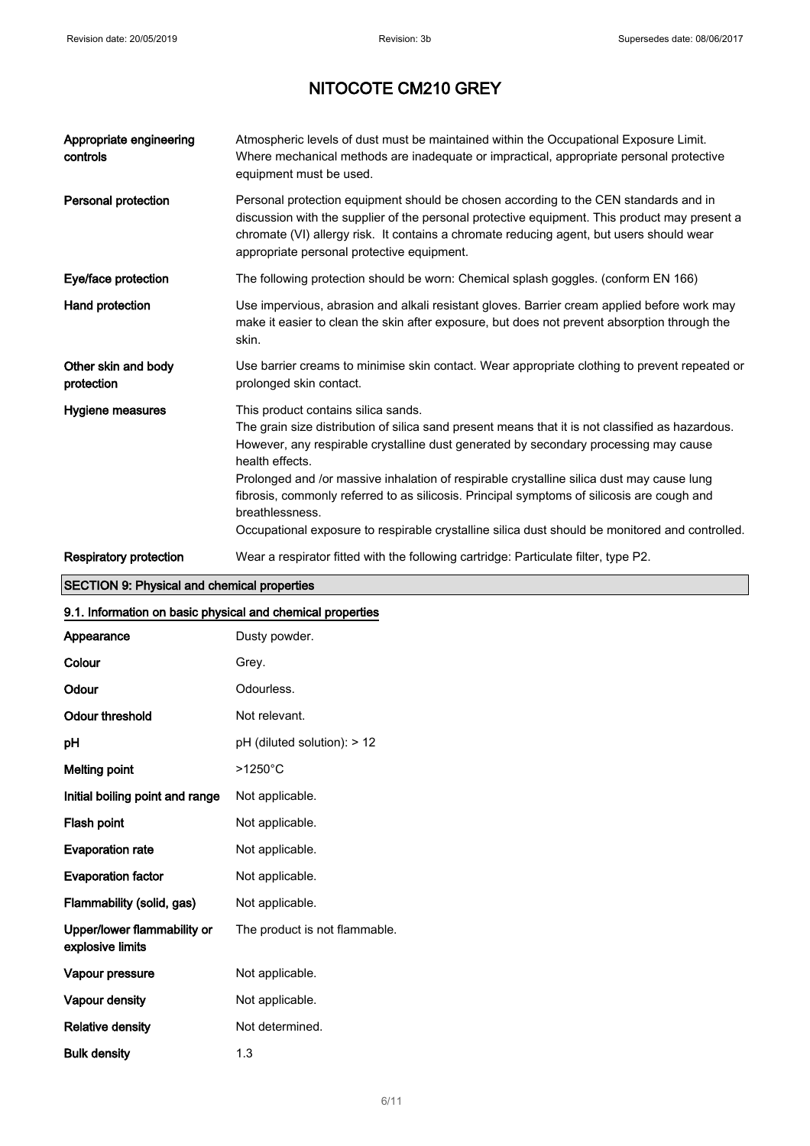| Appropriate engineering<br>controls | Atmospheric levels of dust must be maintained within the Occupational Exposure Limit.<br>Where mechanical methods are inadequate or impractical, appropriate personal protective<br>equipment must be used.                                                                                                                                                                                                                                                                                                                                                         |
|-------------------------------------|---------------------------------------------------------------------------------------------------------------------------------------------------------------------------------------------------------------------------------------------------------------------------------------------------------------------------------------------------------------------------------------------------------------------------------------------------------------------------------------------------------------------------------------------------------------------|
| <b>Personal protection</b>          | Personal protection equipment should be chosen according to the CEN standards and in<br>discussion with the supplier of the personal protective equipment. This product may present a<br>chromate (VI) allergy risk. It contains a chromate reducing agent, but users should wear<br>appropriate personal protective equipment.                                                                                                                                                                                                                                     |
| Eye/face protection                 | The following protection should be worn: Chemical splash goggles. (conform EN 166)                                                                                                                                                                                                                                                                                                                                                                                                                                                                                  |
| Hand protection                     | Use impervious, abrasion and alkali resistant gloves. Barrier cream applied before work may<br>make it easier to clean the skin after exposure, but does not prevent absorption through the<br>skin.                                                                                                                                                                                                                                                                                                                                                                |
| Other skin and body<br>protection   | Use barrier creams to minimise skin contact. Wear appropriate clothing to prevent repeated or<br>prolonged skin contact.                                                                                                                                                                                                                                                                                                                                                                                                                                            |
| Hygiene measures                    | This product contains silica sands.<br>The grain size distribution of silica sand present means that it is not classified as hazardous.<br>However, any respirable crystalline dust generated by secondary processing may cause<br>health effects.<br>Prolonged and /or massive inhalation of respirable crystalline silica dust may cause lung<br>fibrosis, commonly referred to as silicosis. Principal symptoms of silicosis are cough and<br>breathlessness.<br>Occupational exposure to respirable crystalline silica dust should be monitored and controlled. |
| <b>Respiratory protection</b>       | Wear a respirator fitted with the following cartridge: Particulate filter, type P2.                                                                                                                                                                                                                                                                                                                                                                                                                                                                                 |

## SECTION 9: Physical and chemical properties

## 9.1. Information on basic physical and chemical properties

| Appearance                                      | Dusty powder.                 |
|-------------------------------------------------|-------------------------------|
| Colour                                          | Grey.                         |
| Odour                                           | Odourless.                    |
| <b>Odour threshold</b>                          | Not relevant.                 |
| рH                                              | pH (diluted solution): > 12   |
| <b>Melting point</b>                            | $>1250^{\circ}$ C             |
| Initial boiling point and range                 | Not applicable.               |
| Flash point                                     | Not applicable.               |
| <b>Evaporation rate</b>                         | Not applicable.               |
| <b>Evaporation factor</b>                       | Not applicable.               |
| Flammability (solid, gas)                       | Not applicable.               |
| Upper/lower flammability or<br>explosive limits | The product is not flammable. |
| Vapour pressure                                 | Not applicable.               |
| Vapour density                                  | Not applicable.               |
| <b>Relative density</b>                         | Not determined.               |
| <b>Bulk density</b>                             | 1.3                           |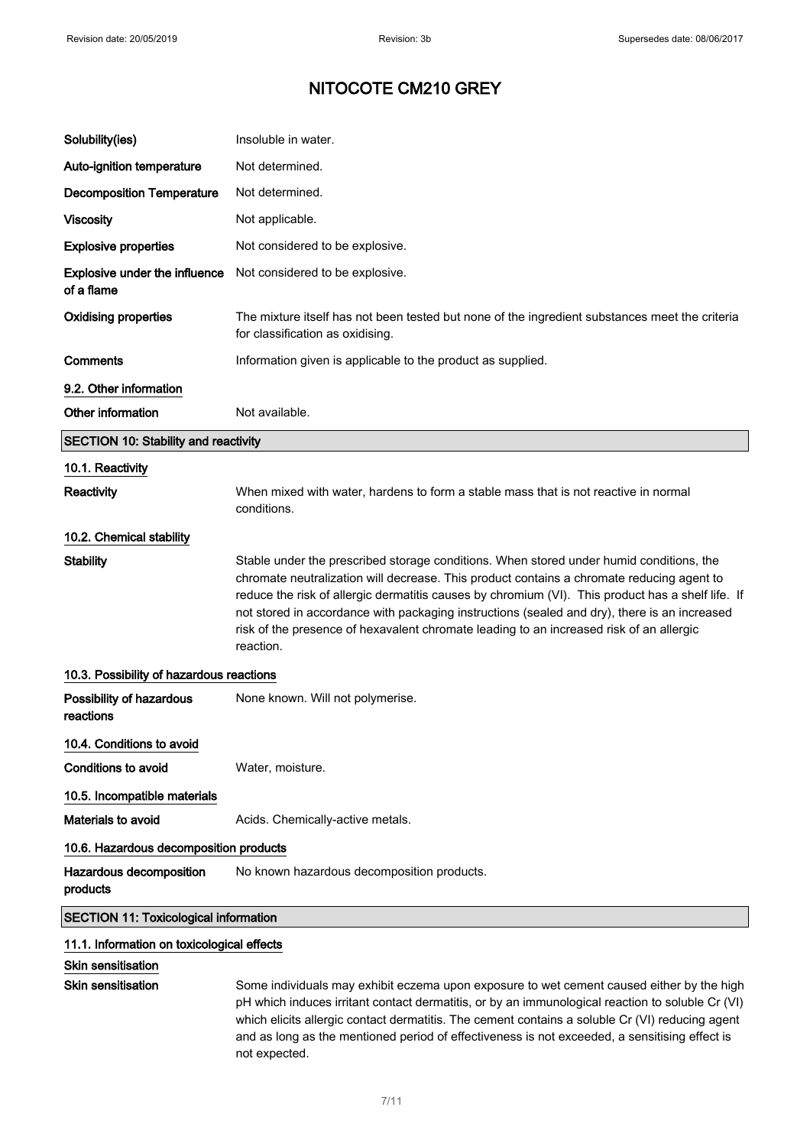| Solubility(ies)                                    | Insoluble in water.                                                                                                                                                                                                                                                                                                                                                                                                                                                                               |  |
|----------------------------------------------------|---------------------------------------------------------------------------------------------------------------------------------------------------------------------------------------------------------------------------------------------------------------------------------------------------------------------------------------------------------------------------------------------------------------------------------------------------------------------------------------------------|--|
| Auto-ignition temperature                          | Not determined.                                                                                                                                                                                                                                                                                                                                                                                                                                                                                   |  |
| <b>Decomposition Temperature</b>                   | Not determined.                                                                                                                                                                                                                                                                                                                                                                                                                                                                                   |  |
| <b>Viscosity</b>                                   | Not applicable.                                                                                                                                                                                                                                                                                                                                                                                                                                                                                   |  |
| <b>Explosive properties</b>                        | Not considered to be explosive.                                                                                                                                                                                                                                                                                                                                                                                                                                                                   |  |
| <b>Explosive under the influence</b><br>of a flame | Not considered to be explosive.                                                                                                                                                                                                                                                                                                                                                                                                                                                                   |  |
| <b>Oxidising properties</b>                        | The mixture itself has not been tested but none of the ingredient substances meet the criteria<br>for classification as oxidising.                                                                                                                                                                                                                                                                                                                                                                |  |
| Comments                                           | Information given is applicable to the product as supplied.                                                                                                                                                                                                                                                                                                                                                                                                                                       |  |
| 9.2. Other information                             |                                                                                                                                                                                                                                                                                                                                                                                                                                                                                                   |  |
| Other information                                  | Not available.                                                                                                                                                                                                                                                                                                                                                                                                                                                                                    |  |
| <b>SECTION 10: Stability and reactivity</b>        |                                                                                                                                                                                                                                                                                                                                                                                                                                                                                                   |  |
| 10.1. Reactivity                                   |                                                                                                                                                                                                                                                                                                                                                                                                                                                                                                   |  |
| <b>Reactivity</b>                                  | When mixed with water, hardens to form a stable mass that is not reactive in normal<br>conditions.                                                                                                                                                                                                                                                                                                                                                                                                |  |
| 10.2. Chemical stability                           |                                                                                                                                                                                                                                                                                                                                                                                                                                                                                                   |  |
| <b>Stability</b>                                   | Stable under the prescribed storage conditions. When stored under humid conditions, the<br>chromate neutralization will decrease. This product contains a chromate reducing agent to<br>reduce the risk of allergic dermatitis causes by chromium (VI). This product has a shelf life. If<br>not stored in accordance with packaging instructions (sealed and dry), there is an increased<br>risk of the presence of hexavalent chromate leading to an increased risk of an allergic<br>reaction. |  |
| 10.3. Possibility of hazardous reactions           |                                                                                                                                                                                                                                                                                                                                                                                                                                                                                                   |  |
| Possibility of hazardous<br>reactions              | None known. Will not polymerise.                                                                                                                                                                                                                                                                                                                                                                                                                                                                  |  |
| 10.4. Conditions to avoid                          |                                                                                                                                                                                                                                                                                                                                                                                                                                                                                                   |  |
| <b>Conditions to avoid</b>                         | Water, moisture.                                                                                                                                                                                                                                                                                                                                                                                                                                                                                  |  |
| 10.5. Incompatible materials                       |                                                                                                                                                                                                                                                                                                                                                                                                                                                                                                   |  |
| Materials to avoid                                 | Acids. Chemically-active metals.                                                                                                                                                                                                                                                                                                                                                                                                                                                                  |  |
| 10.6. Hazardous decomposition products             |                                                                                                                                                                                                                                                                                                                                                                                                                                                                                                   |  |
| Hazardous decomposition<br>products                | No known hazardous decomposition products.                                                                                                                                                                                                                                                                                                                                                                                                                                                        |  |
| <b>SECTION 11: Toxicological information</b>       |                                                                                                                                                                                                                                                                                                                                                                                                                                                                                                   |  |
| 11.1. Information on toxicological effects         |                                                                                                                                                                                                                                                                                                                                                                                                                                                                                                   |  |
| Skin sensitisation                                 |                                                                                                                                                                                                                                                                                                                                                                                                                                                                                                   |  |

**Skin sensitisation** 

Skin sensitisation Some individuals may exhibit eczema upon exposure to wet cement caused either by the high pH which induces irritant contact dermatitis, or by an immunological reaction to soluble Cr (VI) which elicits allergic contact dermatitis. The cement contains a soluble Cr (VI) reducing agent and as long as the mentioned period of effectiveness is not exceeded, a sensitising effect is not expected.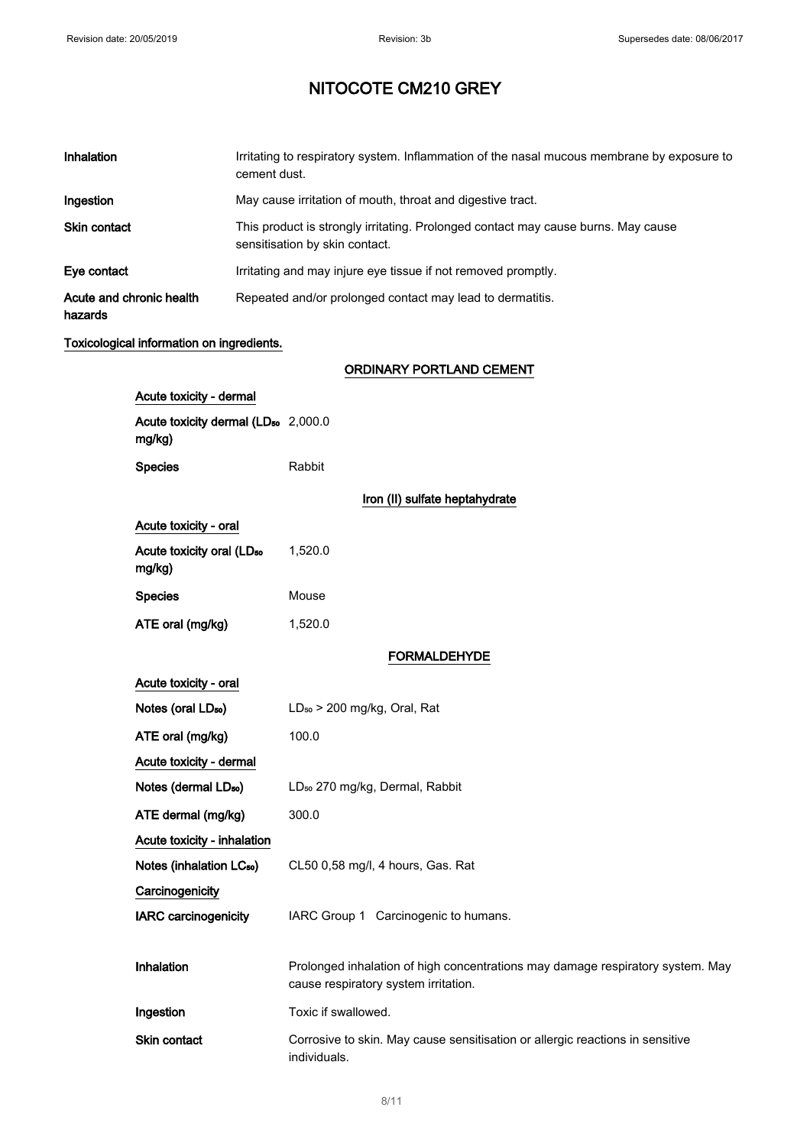| Inhalation                          |                                                           | Irritating to respiratory system. Inflammation of the nasal mucous membrane by exposure to<br>cement dust. |                                                                                                                        |  |
|-------------------------------------|-----------------------------------------------------------|------------------------------------------------------------------------------------------------------------|------------------------------------------------------------------------------------------------------------------------|--|
| Ingestion                           |                                                           |                                                                                                            | May cause irritation of mouth, throat and digestive tract.                                                             |  |
| Skin contact                        |                                                           |                                                                                                            | This product is strongly irritating. Prolonged contact may cause burns. May cause<br>sensitisation by skin contact.    |  |
| Eye contact                         |                                                           |                                                                                                            | Irritating and may injure eye tissue if not removed promptly.                                                          |  |
| Acute and chronic health<br>hazards |                                                           |                                                                                                            | Repeated and/or prolonged contact may lead to dermatitis.                                                              |  |
|                                     | Toxicological information on ingredients.                 |                                                                                                            |                                                                                                                        |  |
|                                     |                                                           |                                                                                                            | <b>ORDINARY PORTLAND CEMENT</b>                                                                                        |  |
|                                     | Acute toxicity - dermal                                   |                                                                                                            |                                                                                                                        |  |
|                                     | Acute toxicity dermal (LD <sub>50</sub> 2,000.0<br>mg/kg) |                                                                                                            |                                                                                                                        |  |
|                                     | <b>Species</b>                                            |                                                                                                            | Rabbit                                                                                                                 |  |
|                                     |                                                           |                                                                                                            | Iron (II) sulfate heptahydrate                                                                                         |  |
|                                     |                                                           |                                                                                                            |                                                                                                                        |  |
|                                     | Acute toxicity - oral                                     |                                                                                                            |                                                                                                                        |  |
|                                     | Acute toxicity oral (LD <sub>50</sub><br>mg/kg)           |                                                                                                            | 1,520.0                                                                                                                |  |
|                                     | <b>Species</b>                                            |                                                                                                            | Mouse                                                                                                                  |  |
| ATE oral (mg/kg)                    |                                                           |                                                                                                            | 1,520.0                                                                                                                |  |
|                                     |                                                           |                                                                                                            | <b>FORMALDEHYDE</b>                                                                                                    |  |
|                                     | Acute toxicity - oral                                     |                                                                                                            |                                                                                                                        |  |
|                                     | Notes (oral LD <sub>50</sub> )                            |                                                                                                            | LD <sub>50</sub> > 200 mg/kg, Oral, Rat                                                                                |  |
|                                     | ATE oral (mg/kg)                                          |                                                                                                            | 100.0                                                                                                                  |  |
|                                     | Acute toxicity - dermal                                   |                                                                                                            |                                                                                                                        |  |
|                                     | Notes (dermal LD <sub>50</sub> )                          |                                                                                                            | LD <sub>50</sub> 270 mg/kg, Dermal, Rabbit                                                                             |  |
|                                     | ATE dermal (mg/kg)                                        |                                                                                                            | 300.0                                                                                                                  |  |
|                                     | Acute toxicity - inhalation                               |                                                                                                            |                                                                                                                        |  |
|                                     | Notes (inhalation LC <sub>50</sub> )                      |                                                                                                            | CL50 0,58 mg/l, 4 hours, Gas. Rat                                                                                      |  |
| Carcinogenicity                     |                                                           |                                                                                                            |                                                                                                                        |  |
|                                     | <b>IARC carcinogenicity</b>                               |                                                                                                            | IARC Group 1 Carcinogenic to humans.                                                                                   |  |
|                                     |                                                           |                                                                                                            |                                                                                                                        |  |
|                                     | Inhalation                                                |                                                                                                            | Prolonged inhalation of high concentrations may damage respiratory system. May<br>cause respiratory system irritation. |  |
|                                     | Ingestion                                                 |                                                                                                            | Toxic if swallowed.                                                                                                    |  |
|                                     | Skin contact                                              |                                                                                                            | Corrosive to skin. May cause sensitisation or allergic reactions in sensitive<br>individuals.                          |  |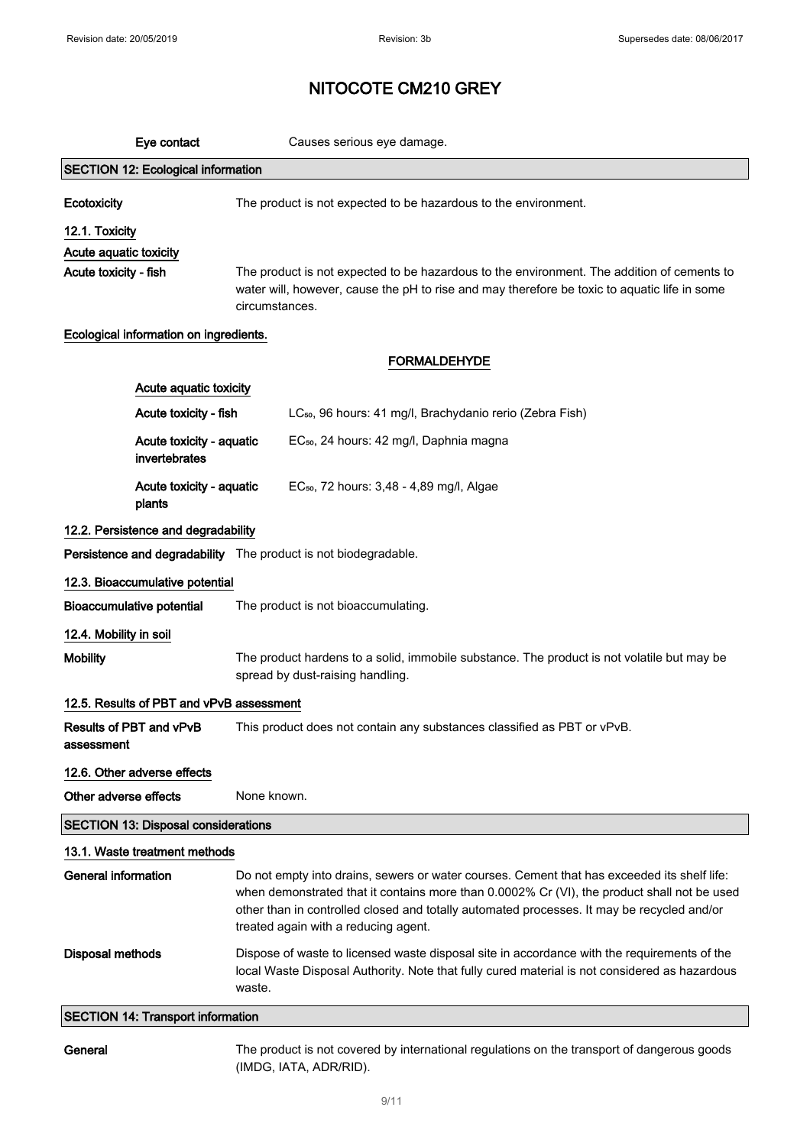|                            | Eye contact                                | Causes serious eye damage.                                                                                                                                                                                                                                                                                                       |
|----------------------------|--------------------------------------------|----------------------------------------------------------------------------------------------------------------------------------------------------------------------------------------------------------------------------------------------------------------------------------------------------------------------------------|
|                            | <b>SECTION 12: Ecological information</b>  |                                                                                                                                                                                                                                                                                                                                  |
| Ecotoxicity                |                                            | The product is not expected to be hazardous to the environment.                                                                                                                                                                                                                                                                  |
| 12.1. Toxicity             |                                            |                                                                                                                                                                                                                                                                                                                                  |
| Acute aquatic toxicity     |                                            |                                                                                                                                                                                                                                                                                                                                  |
| Acute toxicity - fish      |                                            | The product is not expected to be hazardous to the environment. The addition of cements to<br>water will, however, cause the pH to rise and may therefore be toxic to aquatic life in some<br>circumstances.                                                                                                                     |
|                            | Ecological information on ingredients.     |                                                                                                                                                                                                                                                                                                                                  |
|                            |                                            | <b>FORMALDEHYDE</b>                                                                                                                                                                                                                                                                                                              |
|                            | Acute aquatic toxicity                     |                                                                                                                                                                                                                                                                                                                                  |
|                            | Acute toxicity - fish                      | LC <sub>50</sub> , 96 hours: 41 mg/l, Brachydanio rerio (Zebra Fish)                                                                                                                                                                                                                                                             |
|                            | Acute toxicity - aquatic<br>invertebrates  | EC <sub>50</sub> , 24 hours: 42 mg/l, Daphnia magna                                                                                                                                                                                                                                                                              |
|                            | Acute toxicity - aquatic<br>plants         | EC <sub>50</sub> , 72 hours: 3,48 - 4,89 mg/l, Algae                                                                                                                                                                                                                                                                             |
|                            | 12.2. Persistence and degradability        |                                                                                                                                                                                                                                                                                                                                  |
|                            |                                            | Persistence and degradability The product is not biodegradable.                                                                                                                                                                                                                                                                  |
|                            | 12.3. Bioaccumulative potential            |                                                                                                                                                                                                                                                                                                                                  |
|                            | <b>Bioaccumulative potential</b>           | The product is not bioaccumulating.                                                                                                                                                                                                                                                                                              |
| 12.4. Mobility in soil     |                                            |                                                                                                                                                                                                                                                                                                                                  |
| <b>Mobility</b>            |                                            | The product hardens to a solid, immobile substance. The product is not volatile but may be<br>spread by dust-raising handling.                                                                                                                                                                                                   |
|                            | 12.5. Results of PBT and vPvB assessment   |                                                                                                                                                                                                                                                                                                                                  |
| assessment                 | Results of PBT and vPvB                    | This product does not contain any substances classified as PBT or vPvB.                                                                                                                                                                                                                                                          |
|                            | 12.6. Other adverse effects                |                                                                                                                                                                                                                                                                                                                                  |
| Other adverse effects      |                                            | None known.                                                                                                                                                                                                                                                                                                                      |
|                            | <b>SECTION 13: Disposal considerations</b> |                                                                                                                                                                                                                                                                                                                                  |
|                            | 13.1. Waste treatment methods              |                                                                                                                                                                                                                                                                                                                                  |
| <b>General information</b> |                                            | Do not empty into drains, sewers or water courses. Cement that has exceeded its shelf life:<br>when demonstrated that it contains more than 0.0002% Cr (VI), the product shall not be used<br>other than in controlled closed and totally automated processes. It may be recycled and/or<br>treated again with a reducing agent. |
| Disposal methods           |                                            | Dispose of waste to licensed waste disposal site in accordance with the requirements of the<br>local Waste Disposal Authority. Note that fully cured material is not considered as hazardous<br>waste.                                                                                                                           |
|                            | <b>SECTION 14: Transport information</b>   |                                                                                                                                                                                                                                                                                                                                  |
| General                    |                                            | The product is not covered by international regulations on the transport of dangerous goods                                                                                                                                                                                                                                      |

(IMDG, IATA, ADR/RID).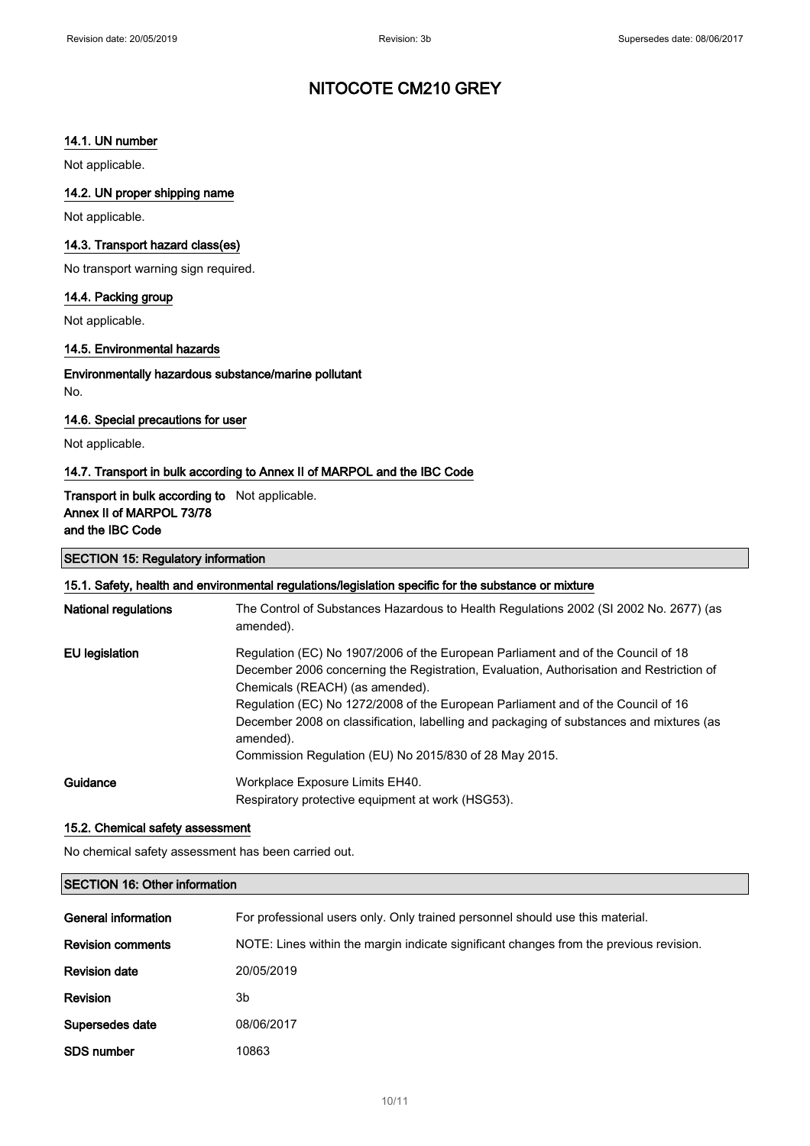## 14.1. UN number

Not applicable.

## 14.2. UN proper shipping name

Not applicable.

## 14.3. Transport hazard class(es)

No transport warning sign required.

### 14.4. Packing group

Not applicable.

## 14.5. Environmental hazards

### Environmentally hazardous substance/marine pollutant No.

### 14.6. Special precautions for user

Not applicable.

## 14.7. Transport in bulk according to Annex II of MARPOL and the IBC Code

## Transport in bulk according to Not applicable. Annex II of MARPOL 73/78 and the IBC Code

### SECTION 15: Regulatory information

## 15.1. Safety, health and environmental regulations/legislation specific for the substance or mixture

| <b>National regulations</b> | The Control of Substances Hazardous to Health Regulations 2002 (SI 2002 No. 2677) (as<br>amended).                                                                                                                                                                                                                                                                                                                                                                   |
|-----------------------------|----------------------------------------------------------------------------------------------------------------------------------------------------------------------------------------------------------------------------------------------------------------------------------------------------------------------------------------------------------------------------------------------------------------------------------------------------------------------|
| EU legislation              | Regulation (EC) No 1907/2006 of the European Parliament and of the Council of 18<br>December 2006 concerning the Registration, Evaluation, Authorisation and Restriction of<br>Chemicals (REACH) (as amended).<br>Regulation (EC) No 1272/2008 of the European Parliament and of the Council of 16<br>December 2008 on classification, labelling and packaging of substances and mixtures (as<br>amended).<br>Commission Regulation (EU) No 2015/830 of 28 May 2015. |
| Guidance                    | Workplace Exposure Limits EH40.<br>Respiratory protective equipment at work (HSG53).                                                                                                                                                                                                                                                                                                                                                                                 |

### 15.2. Chemical safety assessment

No chemical safety assessment has been carried out.

## SECTION 16: Other information

| <b>General information</b> | For professional users only. Only trained personnel should use this material.          |
|----------------------------|----------------------------------------------------------------------------------------|
| <b>Revision comments</b>   | NOTE: Lines within the margin indicate significant changes from the previous revision. |
| <b>Revision date</b>       | 20/05/2019                                                                             |
| <b>Revision</b>            | 3b                                                                                     |
| Supersedes date            | 08/06/2017                                                                             |
| <b>SDS number</b>          | 10863                                                                                  |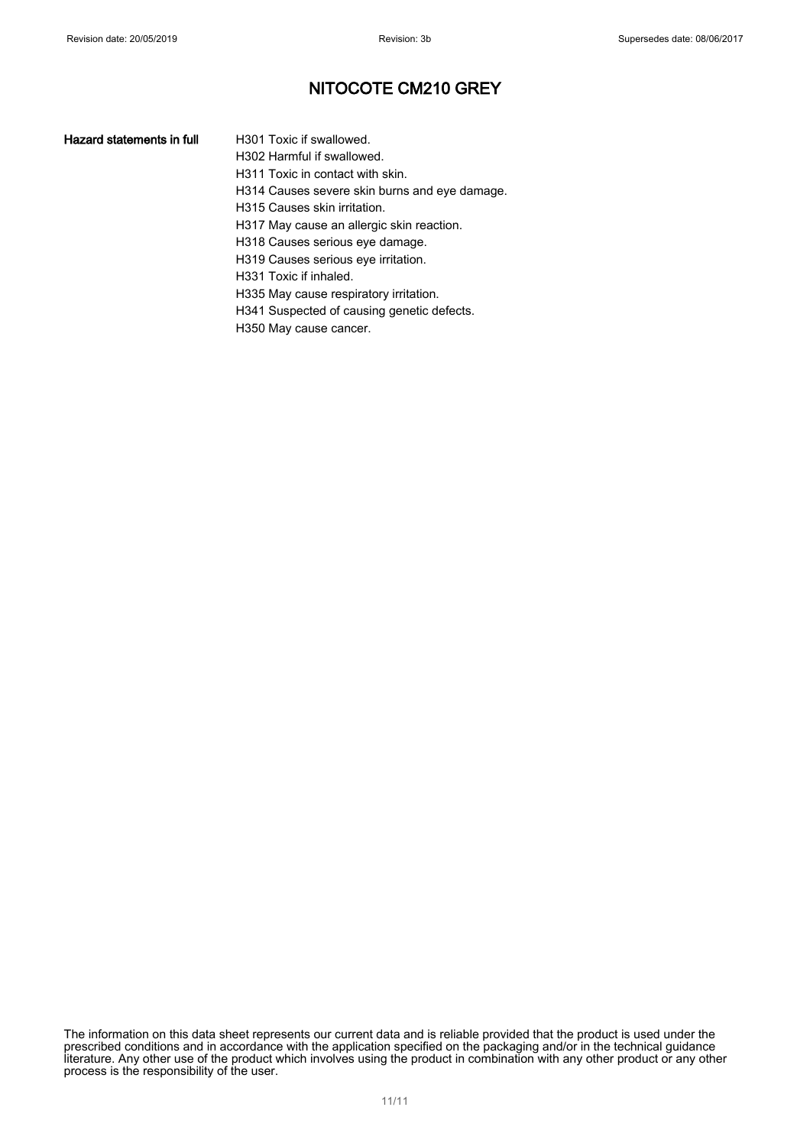- H301 Toxic if swallowed. H302 Harmful if swallowed.
- H311 Toxic in contact with skin.
- H314 Causes severe skin burns and eye damage.
- H315 Causes skin irritation.
- H317 May cause an allergic skin reaction.
- H318 Causes serious eye damage.
- H319 Causes serious eye irritation.
- H331 Toxic if inhaled.
- H335 May cause respiratory irritation.
- H341 Suspected of causing genetic defects.
- H350 May cause cancer.

The information on this data sheet represents our current data and is reliable provided that the product is used under the prescribed conditions and in accordance with the application specified on the packaging and/or in the technical guidance literature. Any other use of the product which involves using the product in combination with any other product or any other process is the responsibility of the user.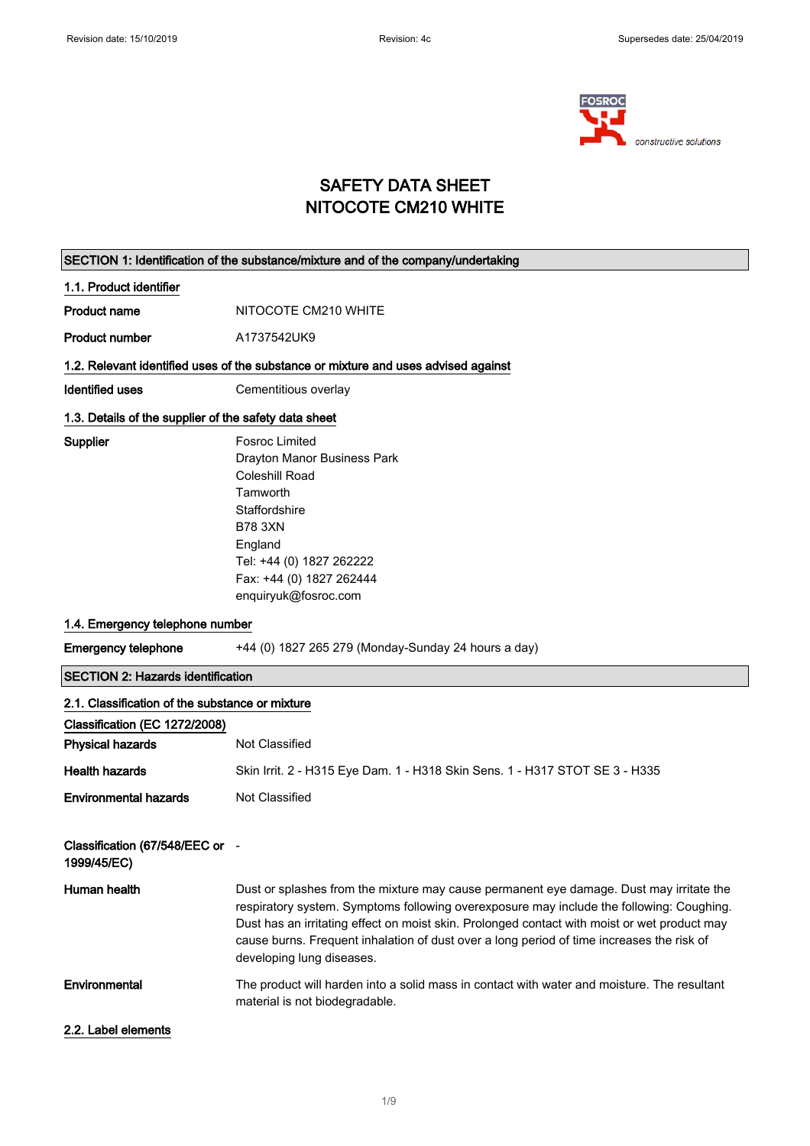

## SAFETY DATA SHEET NITOCOTE CM210 WHITE

| SECTION 1: Identification of the substance/mixture and of the company/undertaking |                                                                                                                                                                                                                                                                                                                                                                                                               |  |
|-----------------------------------------------------------------------------------|---------------------------------------------------------------------------------------------------------------------------------------------------------------------------------------------------------------------------------------------------------------------------------------------------------------------------------------------------------------------------------------------------------------|--|
| 1.1. Product identifier                                                           |                                                                                                                                                                                                                                                                                                                                                                                                               |  |
| <b>Product name</b>                                                               | NITOCOTE CM210 WHITE                                                                                                                                                                                                                                                                                                                                                                                          |  |
| <b>Product number</b>                                                             | A1737542UK9                                                                                                                                                                                                                                                                                                                                                                                                   |  |
|                                                                                   | 1.2. Relevant identified uses of the substance or mixture and uses advised against                                                                                                                                                                                                                                                                                                                            |  |
| <b>Identified uses</b>                                                            | Cementitious overlay                                                                                                                                                                                                                                                                                                                                                                                          |  |
| 1.3. Details of the supplier of the safety data sheet                             |                                                                                                                                                                                                                                                                                                                                                                                                               |  |
| <b>Supplier</b>                                                                   | <b>Fosroc Limited</b><br>Drayton Manor Business Park<br><b>Coleshill Road</b><br>Tamworth<br>Staffordshire<br><b>B78 3XN</b><br>England<br>Tel: +44 (0) 1827 262222<br>Fax: +44 (0) 1827 262444<br>enquiryuk@fosroc.com                                                                                                                                                                                       |  |
| 1.4. Emergency telephone number                                                   |                                                                                                                                                                                                                                                                                                                                                                                                               |  |
| <b>Emergency telephone</b>                                                        | +44 (0) 1827 265 279 (Monday-Sunday 24 hours a day)                                                                                                                                                                                                                                                                                                                                                           |  |
| <b>SECTION 2: Hazards identification</b>                                          |                                                                                                                                                                                                                                                                                                                                                                                                               |  |
|                                                                                   |                                                                                                                                                                                                                                                                                                                                                                                                               |  |
| 2.1. Classification of the substance or mixture<br>Classification (EC 1272/2008)  |                                                                                                                                                                                                                                                                                                                                                                                                               |  |
| <b>Physical hazards</b>                                                           | Not Classified                                                                                                                                                                                                                                                                                                                                                                                                |  |
| <b>Health hazards</b>                                                             | Skin Irrit. 2 - H315 Eye Dam. 1 - H318 Skin Sens. 1 - H317 STOT SE 3 - H335                                                                                                                                                                                                                                                                                                                                   |  |
| <b>Environmental hazards</b>                                                      | Not Classified                                                                                                                                                                                                                                                                                                                                                                                                |  |
| Classification (67/548/EEC or -<br>1999/45/EC)                                    |                                                                                                                                                                                                                                                                                                                                                                                                               |  |
| Human health                                                                      | Dust or splashes from the mixture may cause permanent eye damage. Dust may irritate the<br>respiratory system. Symptoms following overexposure may include the following: Coughing.<br>Dust has an irritating effect on moist skin. Prolonged contact with moist or wet product may<br>cause burns. Frequent inhalation of dust over a long period of time increases the risk of<br>developing lung diseases. |  |
| Environmental                                                                     | The product will harden into a solid mass in contact with water and moisture. The resultant<br>material is not biodegradable.                                                                                                                                                                                                                                                                                 |  |
| 2.2. Label elements                                                               |                                                                                                                                                                                                                                                                                                                                                                                                               |  |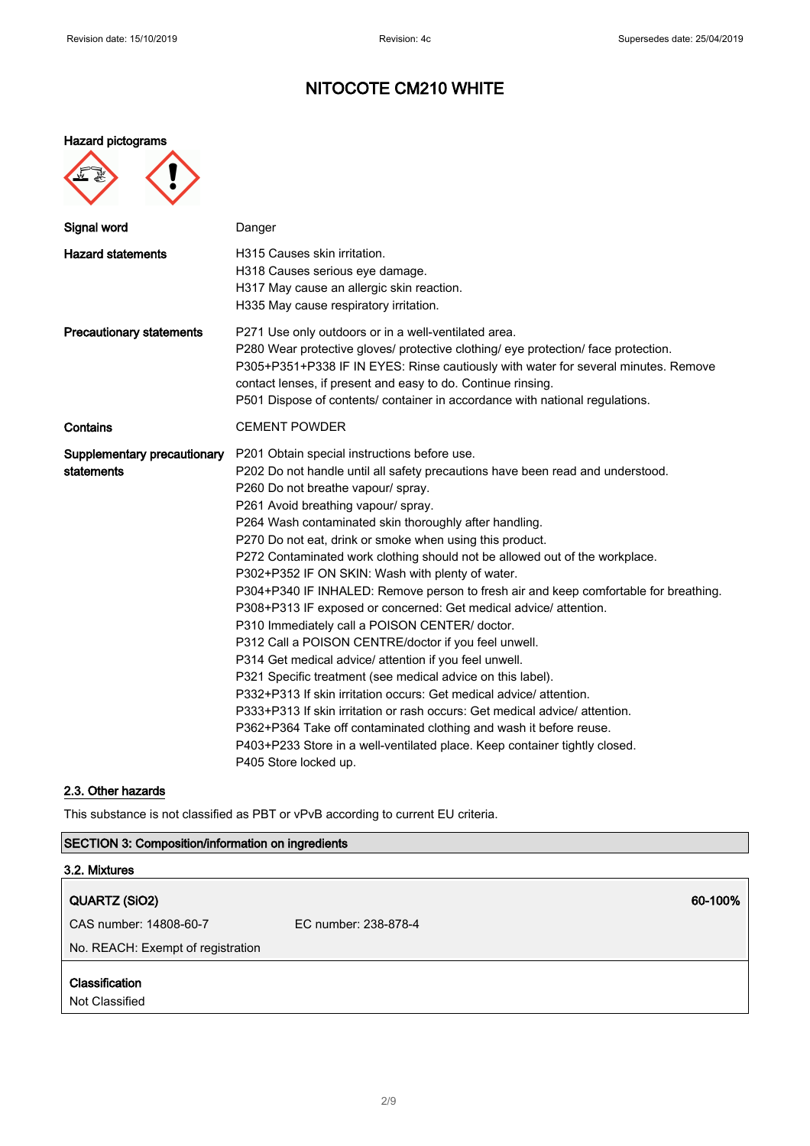## Hazard pictograms

| œ<br>€ |  |
|--------|--|
|        |  |

| Danger                                                                                                                                                                                                                                                                                                                                                                                                                                                                                                                                                                                                                                                                                                                                                                                                                                                                                                                                                                                                                                                                                                                                                                                                |
|-------------------------------------------------------------------------------------------------------------------------------------------------------------------------------------------------------------------------------------------------------------------------------------------------------------------------------------------------------------------------------------------------------------------------------------------------------------------------------------------------------------------------------------------------------------------------------------------------------------------------------------------------------------------------------------------------------------------------------------------------------------------------------------------------------------------------------------------------------------------------------------------------------------------------------------------------------------------------------------------------------------------------------------------------------------------------------------------------------------------------------------------------------------------------------------------------------|
| H315 Causes skin irritation.<br>H318 Causes serious eye damage.<br>H317 May cause an allergic skin reaction.<br>H335 May cause respiratory irritation.                                                                                                                                                                                                                                                                                                                                                                                                                                                                                                                                                                                                                                                                                                                                                                                                                                                                                                                                                                                                                                                |
| P271 Use only outdoors or in a well-ventilated area.<br>P280 Wear protective gloves/ protective clothing/ eye protection/ face protection.<br>P305+P351+P338 IF IN EYES: Rinse cautiously with water for several minutes. Remove<br>contact lenses, if present and easy to do. Continue rinsing.<br>P501 Dispose of contents/ container in accordance with national regulations.                                                                                                                                                                                                                                                                                                                                                                                                                                                                                                                                                                                                                                                                                                                                                                                                                      |
| <b>CEMENT POWDER</b>                                                                                                                                                                                                                                                                                                                                                                                                                                                                                                                                                                                                                                                                                                                                                                                                                                                                                                                                                                                                                                                                                                                                                                                  |
| P201 Obtain special instructions before use.<br>P202 Do not handle until all safety precautions have been read and understood.<br>P260 Do not breathe vapour/ spray.<br>P261 Avoid breathing vapour/ spray.<br>P264 Wash contaminated skin thoroughly after handling.<br>P270 Do not eat, drink or smoke when using this product.<br>P272 Contaminated work clothing should not be allowed out of the workplace.<br>P302+P352 IF ON SKIN: Wash with plenty of water.<br>P304+P340 IF INHALED: Remove person to fresh air and keep comfortable for breathing.<br>P308+P313 IF exposed or concerned: Get medical advice/ attention.<br>P310 Immediately call a POISON CENTER/ doctor.<br>P312 Call a POISON CENTRE/doctor if you feel unwell.<br>P314 Get medical advice/ attention if you feel unwell.<br>P321 Specific treatment (see medical advice on this label).<br>P332+P313 If skin irritation occurs: Get medical advice/attention.<br>P333+P313 If skin irritation or rash occurs: Get medical advice/attention.<br>P362+P364 Take off contaminated clothing and wash it before reuse.<br>P403+P233 Store in a well-ventilated place. Keep container tightly closed.<br>P405 Store locked up. |
|                                                                                                                                                                                                                                                                                                                                                                                                                                                                                                                                                                                                                                                                                                                                                                                                                                                                                                                                                                                                                                                                                                                                                                                                       |

## 2.3. Other hazards

This substance is not classified as PBT or vPvB according to current EU criteria.

## SECTION 3: Composition/information on ingredients

| 3.2. Mixtures                     |                      |  |
|-----------------------------------|----------------------|--|
| QUARTZ (SiO2)                     | 60-100%              |  |
| CAS number: 14808-60-7            | EC number: 238-878-4 |  |
| No. REACH: Exempt of registration |                      |  |
| Classification                    |                      |  |
| Not Classified                    |                      |  |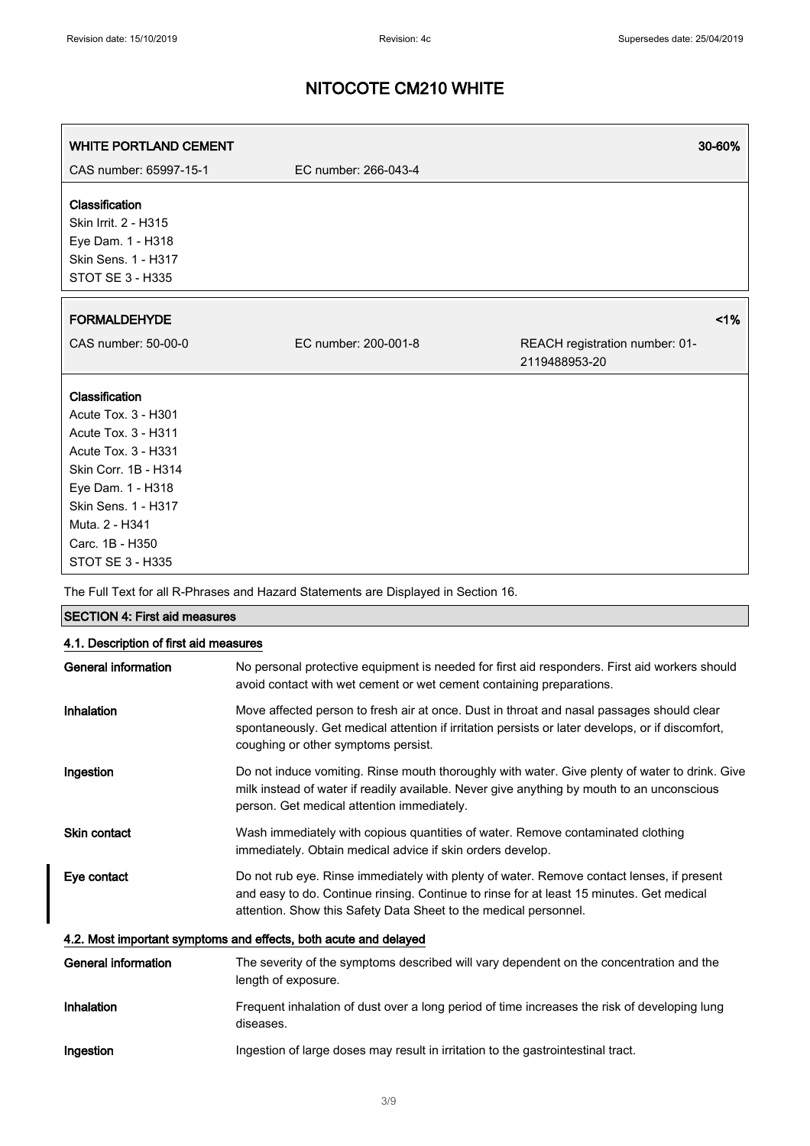| CAS number: 65997-15-1<br>EC number: 266-043-4                                                                                                                            |    |
|---------------------------------------------------------------------------------------------------------------------------------------------------------------------------|----|
| Classification<br>Skin Irrit. 2 - H315<br>Eye Dam. 1 - H318<br>Skin Sens. 1 - H317<br><b>STOT SE 3 - H335</b>                                                             |    |
| <b>FORMALDEHYDE</b>                                                                                                                                                       | 1% |
| CAS number: 50-00-0<br>EC number: 200-001-8<br>REACH registration number: 01-<br>2119488953-20                                                                            |    |
| Classification<br><b>Acute Tox. 3 - H301</b><br>Acute Tox. 3 - H311<br>Acute Tox. 3 - H331<br>Skin Corr. 1B - H314<br>Eye Dam. 1 - H318                                   |    |
| Skin Sens. 1 - H317<br>Muta. 2 - H341<br>Carc. 1B - H350<br><b>STOT SE 3 - H335</b><br>The Full Text for all R-Phrases and Hazard Statements are Displayed in Section 16. |    |

| <b>SECTION 4: First aid measures</b>                             |                                                                                                                                                                                                                                                           |  |
|------------------------------------------------------------------|-----------------------------------------------------------------------------------------------------------------------------------------------------------------------------------------------------------------------------------------------------------|--|
| 4.1. Description of first aid measures                           |                                                                                                                                                                                                                                                           |  |
| <b>General information</b>                                       | No personal protective equipment is needed for first aid responders. First aid workers should<br>avoid contact with wet cement or wet cement containing preparations.                                                                                     |  |
| Inhalation                                                       | Move affected person to fresh air at once. Dust in throat and nasal passages should clear<br>spontaneously. Get medical attention if irritation persists or later develops, or if discomfort,<br>coughing or other symptoms persist.                      |  |
| Ingestion                                                        | Do not induce vomiting. Rinse mouth thoroughly with water. Give plenty of water to drink. Give<br>milk instead of water if readily available. Never give anything by mouth to an unconscious<br>person. Get medical attention immediately.                |  |
| <b>Skin contact</b>                                              | Wash immediately with copious quantities of water. Remove contaminated clothing<br>immediately. Obtain medical advice if skin orders develop.                                                                                                             |  |
| Eye contact                                                      | Do not rub eye. Rinse immediately with plenty of water. Remove contact lenses, if present<br>and easy to do. Continue rinsing. Continue to rinse for at least 15 minutes. Get medical<br>attention. Show this Safety Data Sheet to the medical personnel. |  |
| 4.2. Most important symptoms and effects, both acute and delayed |                                                                                                                                                                                                                                                           |  |
| General information                                              | The severity of the symptoms described will vary dependent on the concentration and the<br>length of exposure.                                                                                                                                            |  |
| Inhalation                                                       | Frequent inhalation of dust over a long period of time increases the risk of developing lung<br>diseases.                                                                                                                                                 |  |
| Ingestion                                                        | Ingestion of large doses may result in irritation to the gastrointestinal tract.                                                                                                                                                                          |  |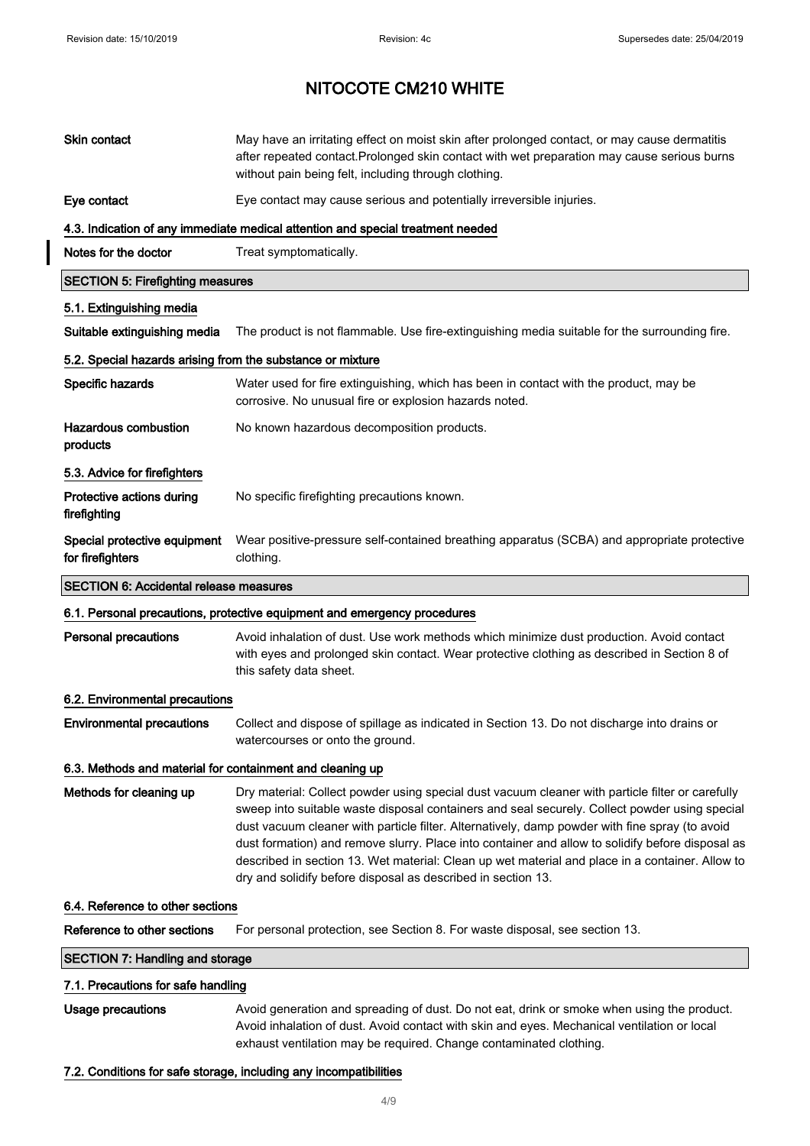$\begin{array}{c} \hline \end{array}$ 

# NITOCOTE CM210 WHITE

| <b>Skin contact</b>                                        | May have an irritating effect on moist skin after prolonged contact, or may cause dermatitis<br>after repeated contact. Prolonged skin contact with wet preparation may cause serious burns<br>without pain being felt, including through clothing.                                                                                                                                                                                                                                                                                                                        |
|------------------------------------------------------------|----------------------------------------------------------------------------------------------------------------------------------------------------------------------------------------------------------------------------------------------------------------------------------------------------------------------------------------------------------------------------------------------------------------------------------------------------------------------------------------------------------------------------------------------------------------------------|
| Eye contact                                                | Eye contact may cause serious and potentially irreversible injuries.                                                                                                                                                                                                                                                                                                                                                                                                                                                                                                       |
|                                                            | 4.3. Indication of any immediate medical attention and special treatment needed                                                                                                                                                                                                                                                                                                                                                                                                                                                                                            |
| Notes for the doctor                                       | Treat symptomatically.                                                                                                                                                                                                                                                                                                                                                                                                                                                                                                                                                     |
| <b>SECTION 5: Firefighting measures</b>                    |                                                                                                                                                                                                                                                                                                                                                                                                                                                                                                                                                                            |
| 5.1. Extinguishing media                                   |                                                                                                                                                                                                                                                                                                                                                                                                                                                                                                                                                                            |
| Suitable extinguishing media                               | The product is not flammable. Use fire-extinguishing media suitable for the surrounding fire.                                                                                                                                                                                                                                                                                                                                                                                                                                                                              |
| 5.2. Special hazards arising from the substance or mixture |                                                                                                                                                                                                                                                                                                                                                                                                                                                                                                                                                                            |
| Specific hazards                                           | Water used for fire extinguishing, which has been in contact with the product, may be<br>corrosive. No unusual fire or explosion hazards noted.                                                                                                                                                                                                                                                                                                                                                                                                                            |
| <b>Hazardous combustion</b><br>products                    | No known hazardous decomposition products.                                                                                                                                                                                                                                                                                                                                                                                                                                                                                                                                 |
| 5.3. Advice for firefighters                               |                                                                                                                                                                                                                                                                                                                                                                                                                                                                                                                                                                            |
| Protective actions during<br>firefighting                  | No specific firefighting precautions known.                                                                                                                                                                                                                                                                                                                                                                                                                                                                                                                                |
| Special protective equipment<br>for firefighters           | Wear positive-pressure self-contained breathing apparatus (SCBA) and appropriate protective<br>clothing.                                                                                                                                                                                                                                                                                                                                                                                                                                                                   |
| <b>SECTION 6: Accidental release measures</b>              |                                                                                                                                                                                                                                                                                                                                                                                                                                                                                                                                                                            |
|                                                            | 6.1. Personal precautions, protective equipment and emergency procedures                                                                                                                                                                                                                                                                                                                                                                                                                                                                                                   |
| <b>Personal precautions</b>                                | Avoid inhalation of dust. Use work methods which minimize dust production. Avoid contact<br>with eyes and prolonged skin contact. Wear protective clothing as described in Section 8 of<br>this safety data sheet.                                                                                                                                                                                                                                                                                                                                                         |
| 6.2. Environmental precautions                             |                                                                                                                                                                                                                                                                                                                                                                                                                                                                                                                                                                            |
| <b>Environmental precautions</b>                           | Collect and dispose of spillage as indicated in Section 13. Do not discharge into drains or<br>watercourses or onto the ground.                                                                                                                                                                                                                                                                                                                                                                                                                                            |
| 6.3. Methods and material for containment and cleaning up  |                                                                                                                                                                                                                                                                                                                                                                                                                                                                                                                                                                            |
| Methods for cleaning up                                    | Dry material: Collect powder using special dust vacuum cleaner with particle filter or carefully<br>sweep into suitable waste disposal containers and seal securely. Collect powder using special<br>dust vacuum cleaner with particle filter. Alternatively, damp powder with fine spray (to avoid<br>dust formation) and remove slurry. Place into container and allow to solidify before disposal as<br>described in section 13. Wet material: Clean up wet material and place in a container. Allow to<br>dry and solidify before disposal as described in section 13. |
| 6.4. Reference to other sections                           |                                                                                                                                                                                                                                                                                                                                                                                                                                                                                                                                                                            |
| Reference to other sections                                | For personal protection, see Section 8. For waste disposal, see section 13.                                                                                                                                                                                                                                                                                                                                                                                                                                                                                                |
| <b>SECTION 7: Handling and storage</b>                     |                                                                                                                                                                                                                                                                                                                                                                                                                                                                                                                                                                            |
| 7.1. Precautions for safe handling                         |                                                                                                                                                                                                                                                                                                                                                                                                                                                                                                                                                                            |
| <b>Usage precautions</b>                                   | Avoid generation and spreading of dust. Do not eat, drink or smoke when using the product.<br>Avoid inhalation of dust. Avoid contact with skin and eyes. Mechanical ventilation or local<br>exhaust ventilation may be required. Change contaminated clothing.                                                                                                                                                                                                                                                                                                            |

## 7.2. Conditions for safe storage, including any incompatibilities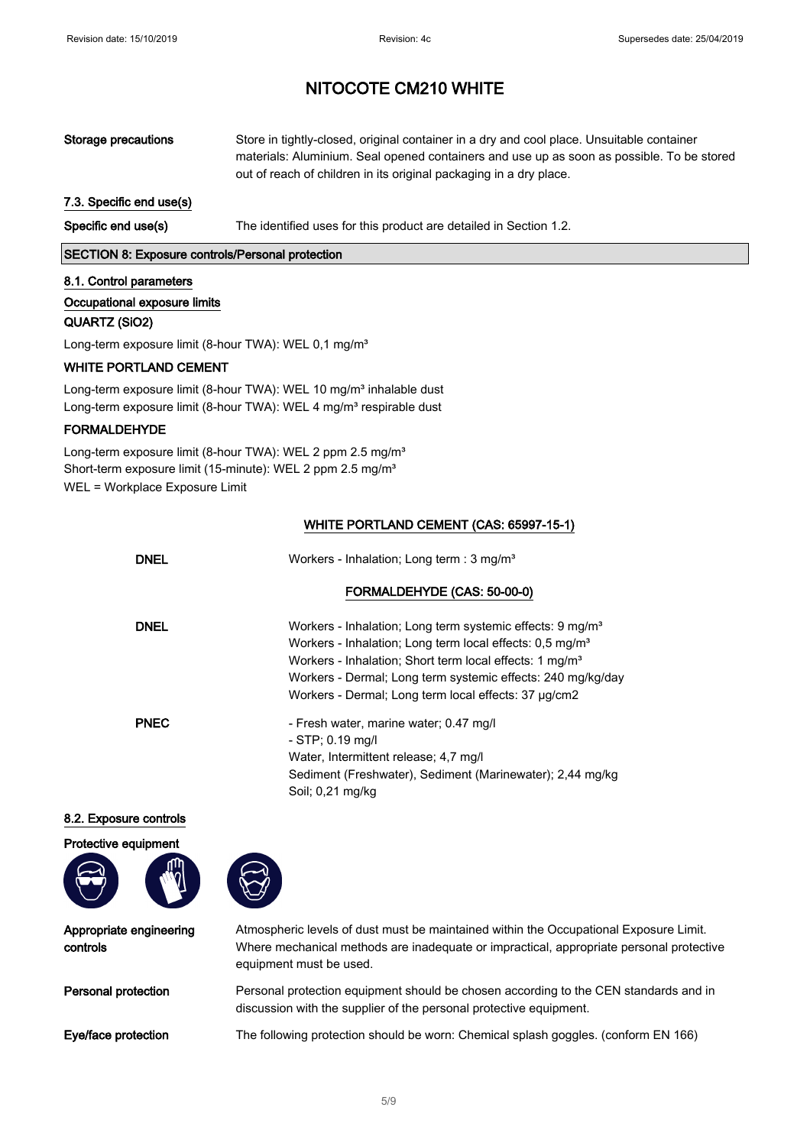| Storage precautions      | Store in tightly-closed, original container in a dry and cool place. Unsuitable container<br>materials: Aluminium. Seal opened containers and use up as soon as possible. To be stored<br>out of reach of children in its original packaging in a dry place. |
|--------------------------|--------------------------------------------------------------------------------------------------------------------------------------------------------------------------------------------------------------------------------------------------------------|
| 7.3. Specific end use(s) |                                                                                                                                                                                                                                                              |
| Specific end use(s)      | The identified uses for this product are detailed in Section 1.2.                                                                                                                                                                                            |

SECTION 8: Exposure controls/Personal protection

#### 8.1. Control parameters

## Occupational exposure limits

### QUARTZ (SiO2)

Long-term exposure limit (8-hour TWA): WEL 0,1 mg/m<sup>3</sup>

### WHITE PORTLAND CEMENT

Long-term exposure limit (8-hour TWA): WEL 10 mg/m<sup>3</sup> inhalable dust Long-term exposure limit (8-hour TWA): WEL 4 mg/m<sup>3</sup> respirable dust

### FORMALDEHYDE

Long-term exposure limit (8-hour TWA): WEL 2 ppm 2.5 mg/m<sup>3</sup> Short-term exposure limit (15-minute): WEL 2 ppm 2.5 mg/m<sup>3</sup> WEL = Workplace Exposure Limit

### WHITE PORTLAND CEMENT (CAS: 65997-15-1)

| DNEL        | Workers - Inhalation; Long term : 3 mg/m <sup>3</sup>                                                                                                                                                                                                                                                                                       |
|-------------|---------------------------------------------------------------------------------------------------------------------------------------------------------------------------------------------------------------------------------------------------------------------------------------------------------------------------------------------|
|             | FORMALDEHYDE (CAS: 50-00-0)                                                                                                                                                                                                                                                                                                                 |
| DNEL        | Workers - Inhalation; Long term systemic effects: 9 mg/m <sup>3</sup><br>Workers - Inhalation; Long term local effects: 0,5 mg/m <sup>3</sup><br>Workers - Inhalation; Short term local effects: 1 mg/m <sup>3</sup><br>Workers - Dermal; Long term systemic effects: 240 mg/kg/day<br>Workers - Dermal; Long term local effects: 37 µg/cm2 |
| <b>PNEC</b> | - Fresh water, marine water; 0.47 mg/l<br>$-$ STP; 0.19 mg/l<br>Water, Intermittent release; 4.7 mg/l<br>Sediment (Freshwater), Sediment (Marinewater); 2,44 mg/kg<br>Soil; 0,21 mg/kg                                                                                                                                                      |

### 8.2. Exposure controls

Protective equipment





Appropriate engineering controls

Atmospheric levels of dust must be maintained within the Occupational Exposure Limit. Where mechanical methods are inadequate or impractical, appropriate personal protective equipment must be used.

Personal protection Personal protection equipment should be chosen according to the CEN standards and in discussion with the supplier of the personal protective equipment.

Eye/face protection The following protection should be worn: Chemical splash goggles. (conform EN 166)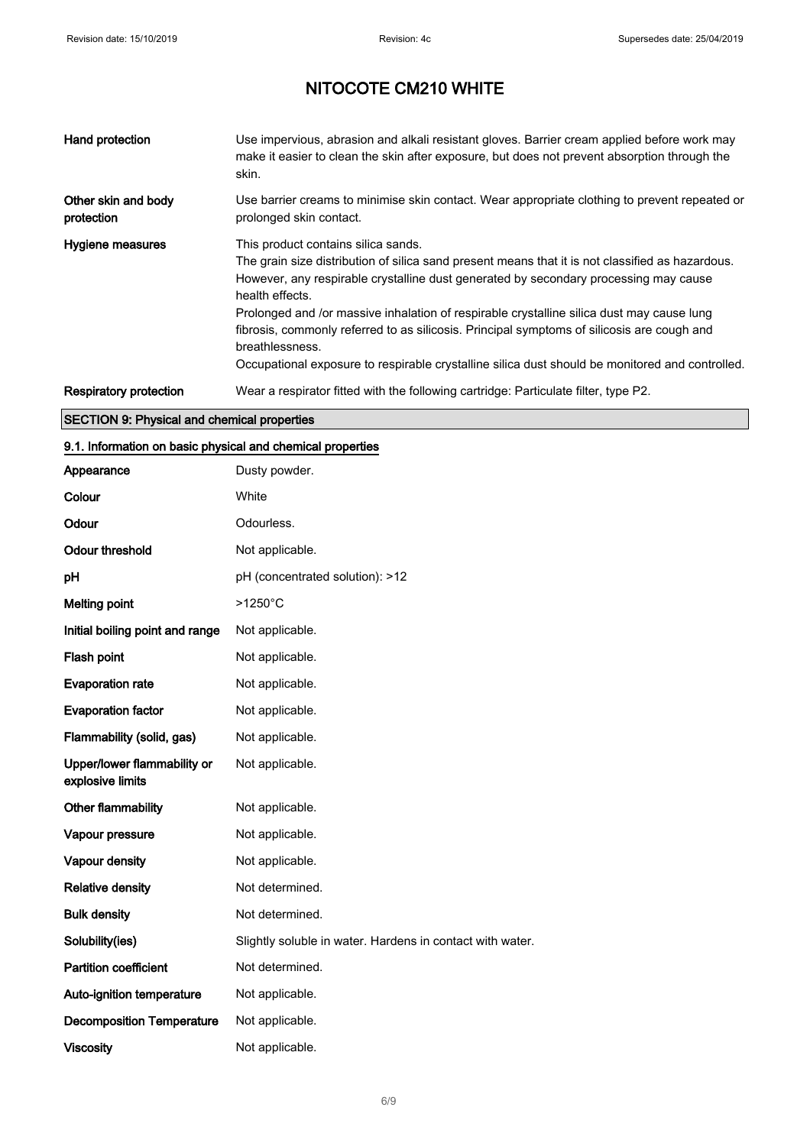| Hand protection                   | Use impervious, abrasion and alkali resistant gloves. Barrier cream applied before work may<br>make it easier to clean the skin after exposure, but does not prevent absorption through the<br>skin.                                                                                                                                                                                                                                                                                                                                                                |
|-----------------------------------|---------------------------------------------------------------------------------------------------------------------------------------------------------------------------------------------------------------------------------------------------------------------------------------------------------------------------------------------------------------------------------------------------------------------------------------------------------------------------------------------------------------------------------------------------------------------|
| Other skin and body<br>protection | Use barrier creams to minimise skin contact. Wear appropriate clothing to prevent repeated or<br>prolonged skin contact.                                                                                                                                                                                                                                                                                                                                                                                                                                            |
| Hygiene measures                  | This product contains silica sands.<br>The grain size distribution of silica sand present means that it is not classified as hazardous.<br>However, any respirable crystalline dust generated by secondary processing may cause<br>health effects.<br>Prolonged and /or massive inhalation of respirable crystalline silica dust may cause lung<br>fibrosis, commonly referred to as silicosis. Principal symptoms of silicosis are cough and<br>breathlessness.<br>Occupational exposure to respirable crystalline silica dust should be monitored and controlled. |
| Respiratory protection            | Wear a respirator fitted with the following cartridge: Particulate filter, type P2.                                                                                                                                                                                                                                                                                                                                                                                                                                                                                 |

## SECTION 9: Physical and chemical properties

## 9.1. Information on basic physical and chemical properties

| Appearance                                      | Dusty powder.                                             |
|-------------------------------------------------|-----------------------------------------------------------|
| Colour                                          | White                                                     |
| Odour                                           | Odourless.                                                |
| <b>Odour threshold</b>                          | Not applicable.                                           |
| рH                                              | pH (concentrated solution): >12                           |
| <b>Melting point</b>                            | $>1250^{\circ}$ C                                         |
| Initial boiling point and range                 | Not applicable.                                           |
| Flash point                                     | Not applicable.                                           |
| <b>Evaporation rate</b>                         | Not applicable.                                           |
| <b>Evaporation factor</b>                       | Not applicable.                                           |
| Flammability (solid, gas)                       | Not applicable.                                           |
| Upper/lower flammability or<br>explosive limits | Not applicable.                                           |
| Other flammability                              | Not applicable.                                           |
| Vapour pressure                                 | Not applicable.                                           |
| Vapour density                                  | Not applicable.                                           |
| <b>Relative density</b>                         | Not determined.                                           |
| <b>Bulk density</b>                             | Not determined.                                           |
| Solubility(ies)                                 | Slightly soluble in water. Hardens in contact with water. |
| <b>Partition coefficient</b>                    | Not determined.                                           |
| Auto-ignition temperature                       | Not applicable.                                           |
| <b>Decomposition Temperature</b>                | Not applicable.                                           |
| <b>Viscosity</b>                                | Not applicable.                                           |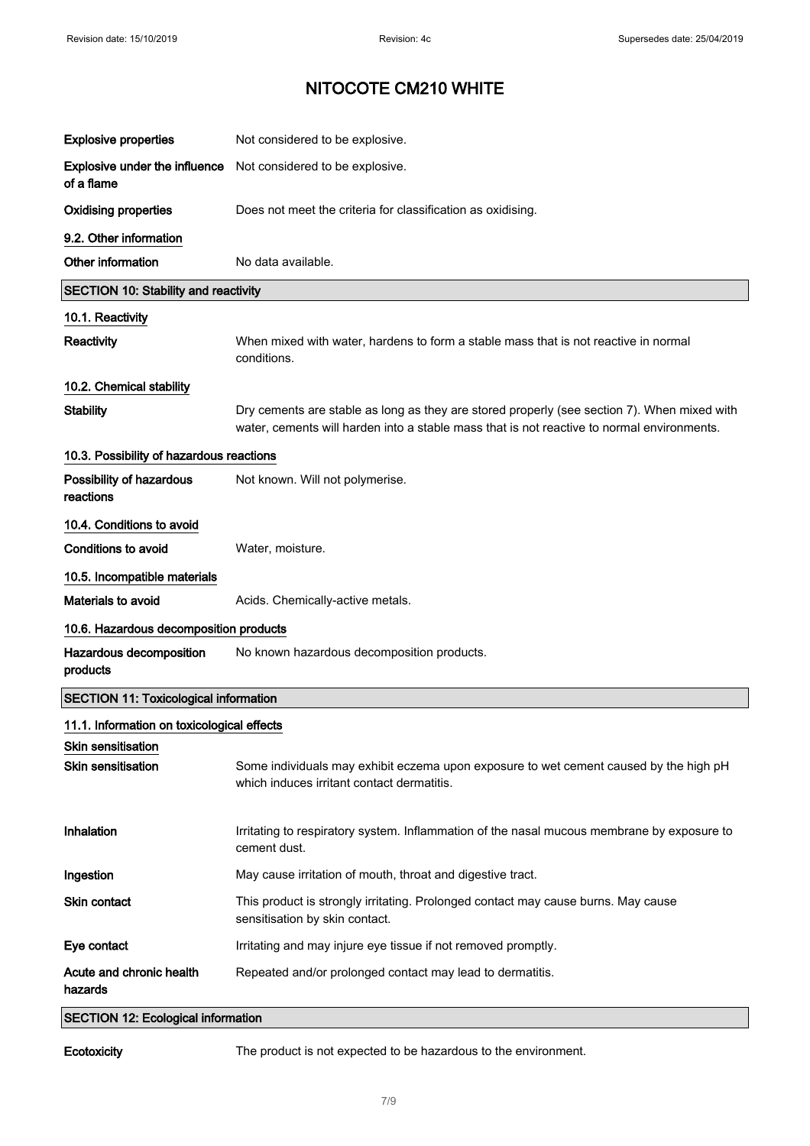| <b>Explosive properties</b>                        | Not considered to be explosive.                                                                                                                                                           |
|----------------------------------------------------|-------------------------------------------------------------------------------------------------------------------------------------------------------------------------------------------|
| <b>Explosive under the influence</b><br>of a flame | Not considered to be explosive.                                                                                                                                                           |
| <b>Oxidising properties</b>                        | Does not meet the criteria for classification as oxidising.                                                                                                                               |
| 9.2. Other information                             |                                                                                                                                                                                           |
| Other information                                  | No data available.                                                                                                                                                                        |
| <b>SECTION 10: Stability and reactivity</b>        |                                                                                                                                                                                           |
| 10.1. Reactivity                                   |                                                                                                                                                                                           |
| Reactivity                                         | When mixed with water, hardens to form a stable mass that is not reactive in normal<br>conditions.                                                                                        |
| 10.2. Chemical stability                           |                                                                                                                                                                                           |
| <b>Stability</b>                                   | Dry cements are stable as long as they are stored properly (see section 7). When mixed with<br>water, cements will harden into a stable mass that is not reactive to normal environments. |
| 10.3. Possibility of hazardous reactions           |                                                                                                                                                                                           |
| Possibility of hazardous<br>reactions              | Not known. Will not polymerise.                                                                                                                                                           |
| 10.4. Conditions to avoid                          |                                                                                                                                                                                           |
| Conditions to avoid                                | Water, moisture.                                                                                                                                                                          |
| 10.5. Incompatible materials                       |                                                                                                                                                                                           |
| <b>Materials to avoid</b>                          | Acids. Chemically-active metals.                                                                                                                                                          |
| 10.6. Hazardous decomposition products             |                                                                                                                                                                                           |
| Hazardous decomposition<br>products                | No known hazardous decomposition products.                                                                                                                                                |
| <b>SECTION 11: Toxicological information</b>       |                                                                                                                                                                                           |
| 11.1. Information on toxicological effects         |                                                                                                                                                                                           |
| Skin sensitisation                                 |                                                                                                                                                                                           |
| Skin sensitisation                                 | Some individuals may exhibit eczema upon exposure to wet cement caused by the high pH<br>which induces irritant contact dermatitis.                                                       |
| <b>Inhalation</b>                                  | Irritating to respiratory system. Inflammation of the nasal mucous membrane by exposure to<br>cement dust.                                                                                |
| Ingestion                                          | May cause irritation of mouth, throat and digestive tract.                                                                                                                                |
| <b>Skin contact</b>                                | This product is strongly irritating. Prolonged contact may cause burns. May cause<br>sensitisation by skin contact.                                                                       |
| Eye contact                                        | Irritating and may injure eye tissue if not removed promptly.                                                                                                                             |
| Acute and chronic health<br>hazards                | Repeated and/or prolonged contact may lead to dermatitis.                                                                                                                                 |
| <b>SECTION 12: Ecological information</b>          |                                                                                                                                                                                           |

Ecotoxicity The product is not expected to be hazardous to the environment.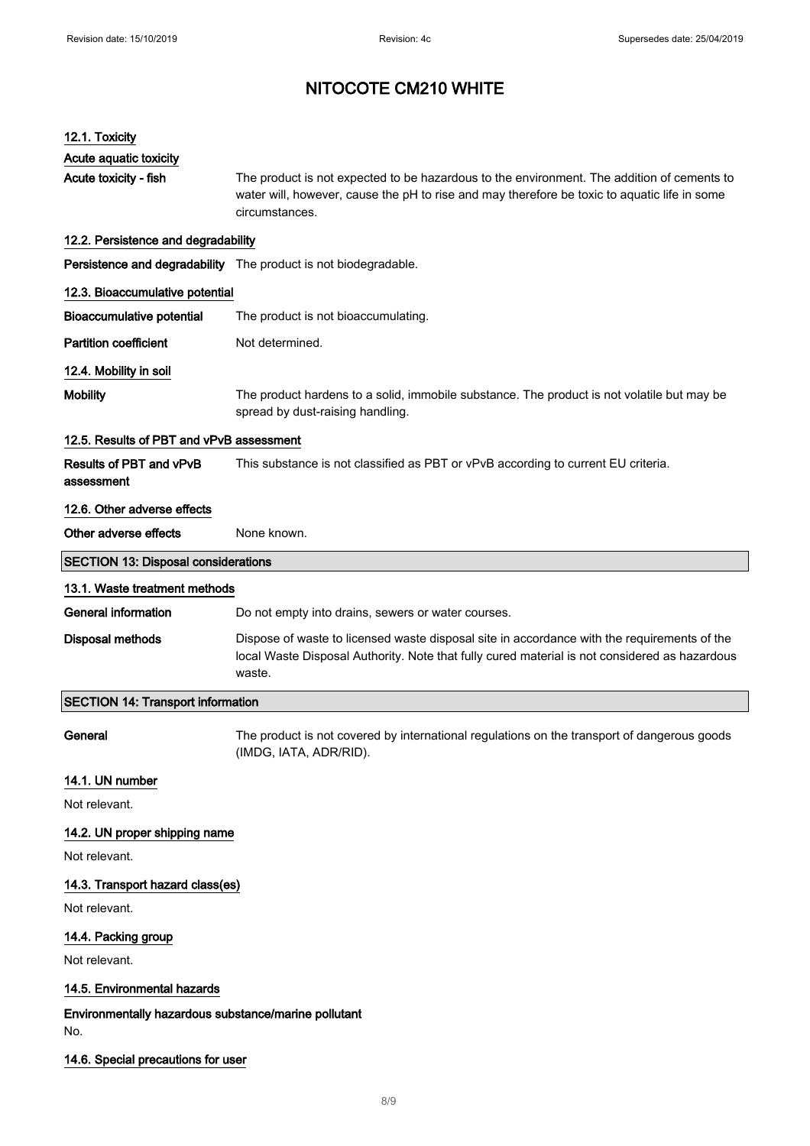| 12.1. Toxicity                                              |                                                                                                                                                                                                              |  |
|-------------------------------------------------------------|--------------------------------------------------------------------------------------------------------------------------------------------------------------------------------------------------------------|--|
| Acute aquatic toxicity                                      |                                                                                                                                                                                                              |  |
| Acute toxicity - fish                                       | The product is not expected to be hazardous to the environment. The addition of cements to<br>water will, however, cause the pH to rise and may therefore be toxic to aquatic life in some<br>circumstances. |  |
| 12.2. Persistence and degradability                         |                                                                                                                                                                                                              |  |
|                                                             | Persistence and degradability The product is not biodegradable.                                                                                                                                              |  |
| 12.3. Bioaccumulative potential                             |                                                                                                                                                                                                              |  |
| <b>Bioaccumulative potential</b>                            | The product is not bioaccumulating.                                                                                                                                                                          |  |
| <b>Partition coefficient</b>                                | Not determined.                                                                                                                                                                                              |  |
| 12.4. Mobility in soil                                      |                                                                                                                                                                                                              |  |
| <b>Mobility</b>                                             | The product hardens to a solid, immobile substance. The product is not volatile but may be<br>spread by dust-raising handling.                                                                               |  |
| 12.5. Results of PBT and vPvB assessment                    |                                                                                                                                                                                                              |  |
| Results of PBT and vPvB<br>assessment                       | This substance is not classified as PBT or vPvB according to current EU criteria.                                                                                                                            |  |
| 12.6. Other adverse effects                                 |                                                                                                                                                                                                              |  |
| Other adverse effects                                       | None known.                                                                                                                                                                                                  |  |
| <b>SECTION 13: Disposal considerations</b>                  |                                                                                                                                                                                                              |  |
| 13.1. Waste treatment methods                               |                                                                                                                                                                                                              |  |
| <b>General information</b>                                  | Do not empty into drains, sewers or water courses.                                                                                                                                                           |  |
| Disposal methods                                            | Dispose of waste to licensed waste disposal site in accordance with the requirements of the<br>local Waste Disposal Authority. Note that fully cured material is not considered as hazardous<br>waste.       |  |
| <b>SECTION 14: Transport information</b>                    |                                                                                                                                                                                                              |  |
| General                                                     | The product is not covered by international regulations on the transport of dangerous goods<br>(IMDG, IATA, ADR/RID).                                                                                        |  |
| 14.1. UN number                                             |                                                                                                                                                                                                              |  |
| Not relevant.                                               |                                                                                                                                                                                                              |  |
| 14.2. UN proper shipping name                               |                                                                                                                                                                                                              |  |
| Not relevant.                                               |                                                                                                                                                                                                              |  |
| 14.3. Transport hazard class(es)                            |                                                                                                                                                                                                              |  |
| Not relevant.                                               |                                                                                                                                                                                                              |  |
| 14.4. Packing group                                         |                                                                                                                                                                                                              |  |
| Not relevant.                                               |                                                                                                                                                                                                              |  |
| 14.5. Environmental hazards                                 |                                                                                                                                                                                                              |  |
| Environmentally hazardous substance/marine pollutant<br>No. |                                                                                                                                                                                                              |  |
| 14.6. Special precautions for user                          |                                                                                                                                                                                                              |  |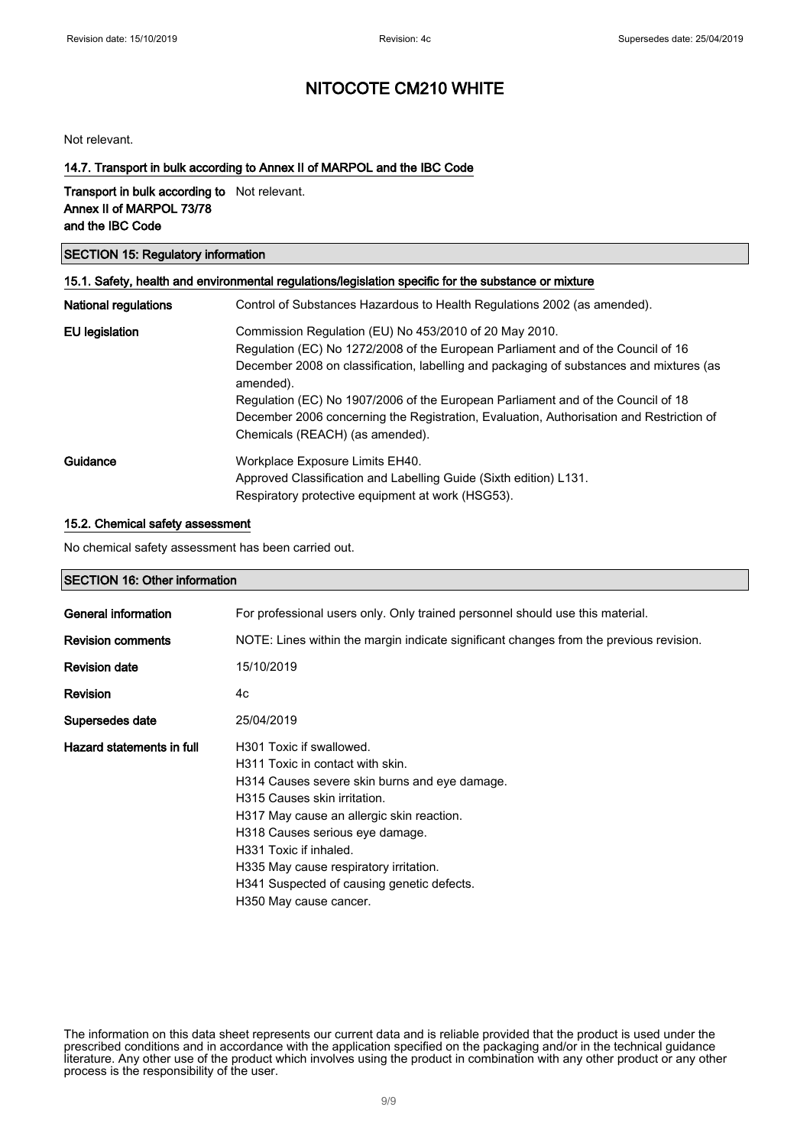Not relevant.

### 14.7. Transport in bulk according to Annex II of MARPOL and the IBC Code

Transport in bulk according to Not relevant. Annex II of MARPOL 73/78 and the IBC Code

## SECTION 15: Regulatory information 15.1. Safety, health and environmental regulations/legislation specific for the substance or mixture National regulations Control of Substances Hazardous to Health Regulations 2002 (as amended). EU legislation Commission Regulation (EU) No 453/2010 of 20 May 2010. Regulation (EC) No 1272/2008 of the European Parliament and of the Council of 16 December 2008 on classification, labelling and packaging of substances and mixtures (as amended). Regulation (EC) No 1907/2006 of the European Parliament and of the Council of 18 December 2006 concerning the Registration, Evaluation, Authorisation and Restriction of Chemicals (REACH) (as amended). Guidance Workplace Exposure Limits EH40. Approved Classification and Labelling Guide (Sixth edition) L131. Respiratory protective equipment at work (HSG53).

#### 15.2. Chemical safety assessment

No chemical safety assessment has been carried out.

#### SECTION 16: Other information

| General information       | For professional users only. Only trained personnel should use this material.                                                                                                                                                                                                                                                                                             |
|---------------------------|---------------------------------------------------------------------------------------------------------------------------------------------------------------------------------------------------------------------------------------------------------------------------------------------------------------------------------------------------------------------------|
| <b>Revision comments</b>  | NOTE: Lines within the margin indicate significant changes from the previous revision.                                                                                                                                                                                                                                                                                    |
| <b>Revision date</b>      | 15/10/2019                                                                                                                                                                                                                                                                                                                                                                |
| <b>Revision</b>           | 4c                                                                                                                                                                                                                                                                                                                                                                        |
| Supersedes date           | 25/04/2019                                                                                                                                                                                                                                                                                                                                                                |
| Hazard statements in full | H301 Toxic if swallowed.<br>H311 Toxic in contact with skin.<br>H314 Causes severe skin burns and eye damage.<br>H315 Causes skin irritation.<br>H317 May cause an allergic skin reaction.<br>H318 Causes serious eye damage.<br>H331 Toxic if inhaled.<br>H335 May cause respiratory irritation.<br>H341 Suspected of causing genetic defects.<br>H350 May cause cancer. |
|                           |                                                                                                                                                                                                                                                                                                                                                                           |

The information on this data sheet represents our current data and is reliable provided that the product is used under the prescribed conditions and in accordance with the application specified on the packaging and/or in the technical guidance literature. Any other use of the product which involves using the product in combination with any other product or any other process is the responsibility of the user.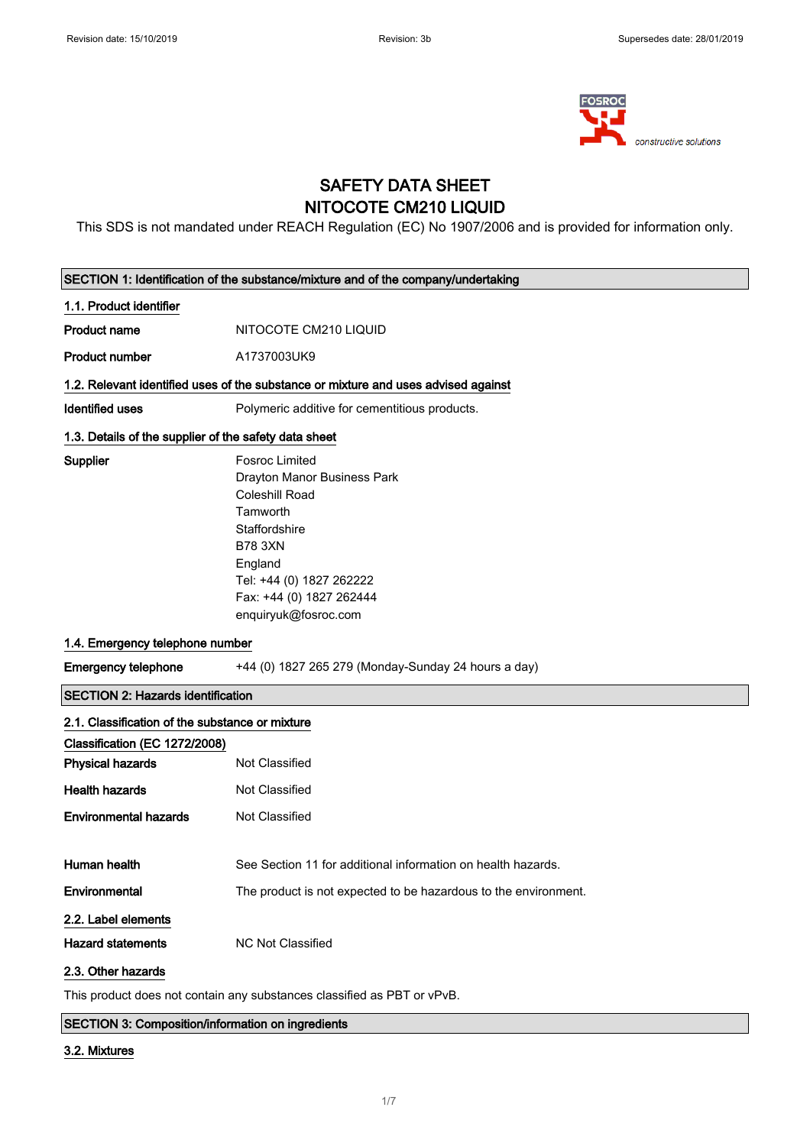

## SAFETY DATA SHEET NITOCOTE CM210 LIQUID

This SDS is not mandated under REACH Regulation (EC) No 1907/2006 and is provided for information only.

|                                                       | SECTION 1: Identification of the substance/mixture and of the company/undertaking                                                                                                                                |  |  |
|-------------------------------------------------------|------------------------------------------------------------------------------------------------------------------------------------------------------------------------------------------------------------------|--|--|
| 1.1. Product identifier                               |                                                                                                                                                                                                                  |  |  |
| <b>Product name</b>                                   | NITOCOTE CM210 LIQUID                                                                                                                                                                                            |  |  |
| <b>Product number</b>                                 | A1737003UK9                                                                                                                                                                                                      |  |  |
|                                                       | 1.2. Relevant identified uses of the substance or mixture and uses advised against                                                                                                                               |  |  |
| <b>Identified uses</b>                                | Polymeric additive for cementitious products.                                                                                                                                                                    |  |  |
| 1.3. Details of the supplier of the safety data sheet |                                                                                                                                                                                                                  |  |  |
| Supplier                                              | <b>Fosroc Limited</b><br>Drayton Manor Business Park<br>Coleshill Road<br>Tamworth<br>Staffordshire<br><b>B78 3XN</b><br>England<br>Tel: +44 (0) 1827 262222<br>Fax: +44 (0) 1827 262444<br>enquiryuk@fosroc.com |  |  |
| 1.4. Emergency telephone number                       |                                                                                                                                                                                                                  |  |  |
| <b>Emergency telephone</b>                            | +44 (0) 1827 265 279 (Monday-Sunday 24 hours a day)                                                                                                                                                              |  |  |
| <b>SECTION 2: Hazards identification</b>              |                                                                                                                                                                                                                  |  |  |
| 2.1. Classification of the substance or mixture       |                                                                                                                                                                                                                  |  |  |
| Classification (EC 1272/2008)                         |                                                                                                                                                                                                                  |  |  |
| <b>Physical hazards</b>                               | Not Classified                                                                                                                                                                                                   |  |  |
| <b>Health hazards</b>                                 | Not Classified                                                                                                                                                                                                   |  |  |
| <b>Environmental hazards</b>                          | Not Classified                                                                                                                                                                                                   |  |  |
| Human health                                          | See Section 11 for additional information on health hazards.                                                                                                                                                     |  |  |
| Environmental                                         | The product is not expected to be hazardous to the environment.                                                                                                                                                  |  |  |
| 2.2. Label elements                                   |                                                                                                                                                                                                                  |  |  |
| <b>Hazard statements</b>                              | NC Not Classified                                                                                                                                                                                                |  |  |
| 2.3. Other hazards                                    |                                                                                                                                                                                                                  |  |  |
|                                                       | This product does not contain any substances classified as PBT or vPvB.                                                                                                                                          |  |  |

SECTION 3: Composition/information on ingredients

## 3.2. Mixtures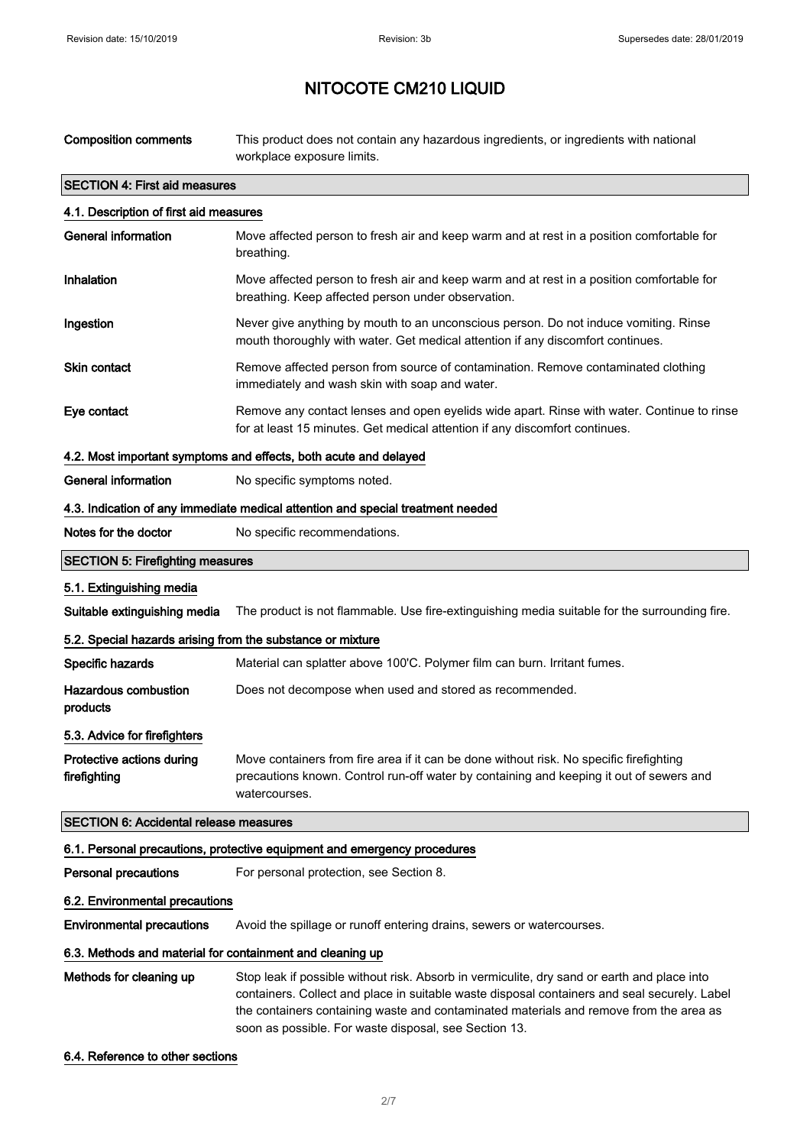| <b>Composition comments</b>                                                     | This product does not contain any hazardous ingredients, or ingredients with national<br>workplace exposure limits.                                                                                                                                                                                                                            |  |
|---------------------------------------------------------------------------------|------------------------------------------------------------------------------------------------------------------------------------------------------------------------------------------------------------------------------------------------------------------------------------------------------------------------------------------------|--|
| <b>SECTION 4: First aid measures</b>                                            |                                                                                                                                                                                                                                                                                                                                                |  |
| 4.1. Description of first aid measures                                          |                                                                                                                                                                                                                                                                                                                                                |  |
| <b>General information</b>                                                      | Move affected person to fresh air and keep warm and at rest in a position comfortable for<br>breathing.                                                                                                                                                                                                                                        |  |
| Inhalation                                                                      | Move affected person to fresh air and keep warm and at rest in a position comfortable for<br>breathing. Keep affected person under observation.                                                                                                                                                                                                |  |
| Ingestion                                                                       | Never give anything by mouth to an unconscious person. Do not induce vomiting. Rinse<br>mouth thoroughly with water. Get medical attention if any discomfort continues.                                                                                                                                                                        |  |
| <b>Skin contact</b>                                                             | Remove affected person from source of contamination. Remove contaminated clothing<br>immediately and wash skin with soap and water.                                                                                                                                                                                                            |  |
| Eye contact                                                                     | Remove any contact lenses and open eyelids wide apart. Rinse with water. Continue to rinse<br>for at least 15 minutes. Get medical attention if any discomfort continues.                                                                                                                                                                      |  |
|                                                                                 | 4.2. Most important symptoms and effects, both acute and delayed                                                                                                                                                                                                                                                                               |  |
| <b>General information</b>                                                      | No specific symptoms noted.                                                                                                                                                                                                                                                                                                                    |  |
| 4.3. Indication of any immediate medical attention and special treatment needed |                                                                                                                                                                                                                                                                                                                                                |  |
| Notes for the doctor                                                            | No specific recommendations.                                                                                                                                                                                                                                                                                                                   |  |
| <b>SECTION 5: Firefighting measures</b>                                         |                                                                                                                                                                                                                                                                                                                                                |  |
| 5.1. Extinguishing media                                                        |                                                                                                                                                                                                                                                                                                                                                |  |
| Suitable extinguishing media                                                    | The product is not flammable. Use fire-extinguishing media suitable for the surrounding fire.                                                                                                                                                                                                                                                  |  |
| 5.2. Special hazards arising from the substance or mixture                      |                                                                                                                                                                                                                                                                                                                                                |  |
| Specific hazards                                                                | Material can splatter above 100'C. Polymer film can burn. Irritant fumes.                                                                                                                                                                                                                                                                      |  |
| <b>Hazardous combustion</b><br>products                                         | Does not decompose when used and stored as recommended.                                                                                                                                                                                                                                                                                        |  |
| 5.3. Advice for firefighters                                                    |                                                                                                                                                                                                                                                                                                                                                |  |
| Protective actions during<br>firefighting                                       | Move containers from fire area if it can be done without risk. No specific firefighting<br>precautions known. Control run-off water by containing and keeping it out of sewers and<br>watercourses.                                                                                                                                            |  |
| <b>SECTION 6: Accidental release measures</b>                                   |                                                                                                                                                                                                                                                                                                                                                |  |
|                                                                                 | 6.1. Personal precautions, protective equipment and emergency procedures                                                                                                                                                                                                                                                                       |  |
| <b>Personal precautions</b>                                                     | For personal protection, see Section 8.                                                                                                                                                                                                                                                                                                        |  |
| 6.2. Environmental precautions                                                  |                                                                                                                                                                                                                                                                                                                                                |  |
| <b>Environmental precautions</b>                                                | Avoid the spillage or runoff entering drains, sewers or watercourses.                                                                                                                                                                                                                                                                          |  |
| 6.3. Methods and material for containment and cleaning up                       |                                                                                                                                                                                                                                                                                                                                                |  |
| Methods for cleaning up                                                         | Stop leak if possible without risk. Absorb in vermiculite, dry sand or earth and place into<br>containers. Collect and place in suitable waste disposal containers and seal securely. Label<br>the containers containing waste and contaminated materials and remove from the area as<br>soon as possible. For waste disposal, see Section 13. |  |

## 6.4. Reference to other sections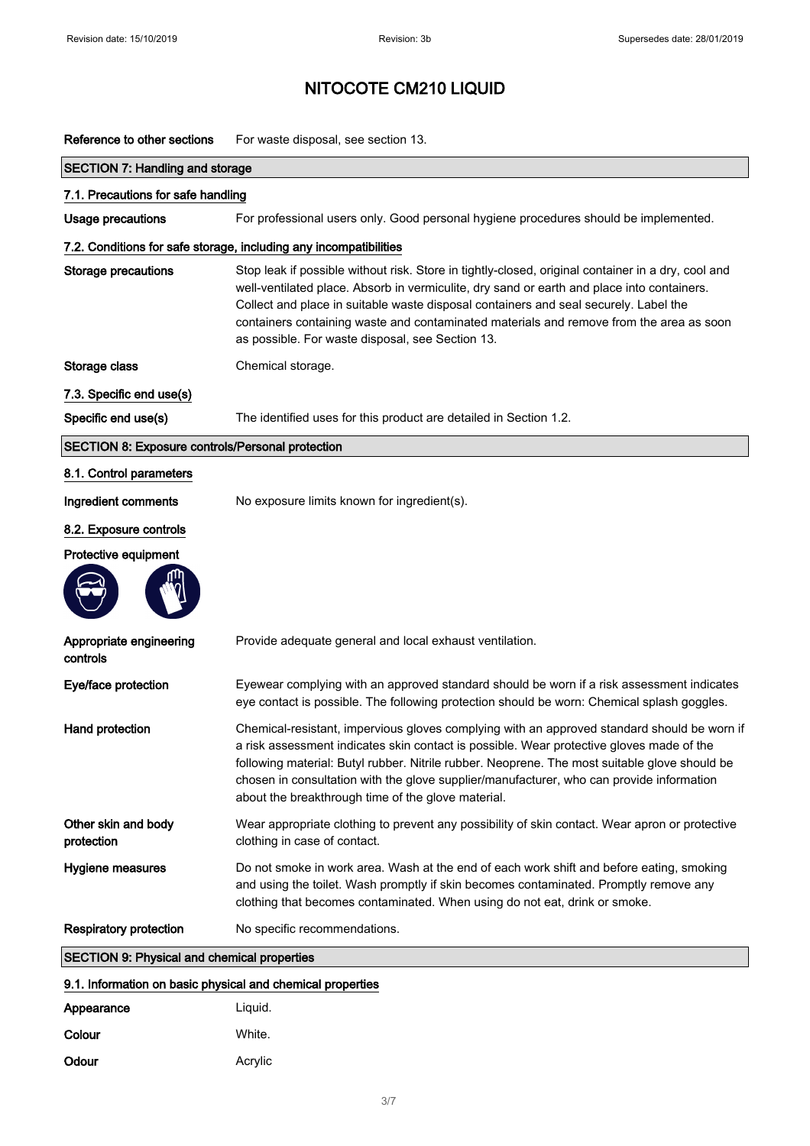| Reference to other sections | For waste disposal, see section 13. |
|-----------------------------|-------------------------------------|
|                             |                                     |

| <b>SECTION 7: Handling and storage</b>                     |                                                                                                                                                                                                                                                                                                                                                                                                                                            |  |
|------------------------------------------------------------|--------------------------------------------------------------------------------------------------------------------------------------------------------------------------------------------------------------------------------------------------------------------------------------------------------------------------------------------------------------------------------------------------------------------------------------------|--|
| 7.1. Precautions for safe handling                         |                                                                                                                                                                                                                                                                                                                                                                                                                                            |  |
| <b>Usage precautions</b>                                   | For professional users only. Good personal hygiene procedures should be implemented.                                                                                                                                                                                                                                                                                                                                                       |  |
|                                                            | 7.2. Conditions for safe storage, including any incompatibilities                                                                                                                                                                                                                                                                                                                                                                          |  |
| <b>Storage precautions</b>                                 | Stop leak if possible without risk. Store in tightly-closed, original container in a dry, cool and<br>well-ventilated place. Absorb in vermiculite, dry sand or earth and place into containers.<br>Collect and place in suitable waste disposal containers and seal securely. Label the<br>containers containing waste and contaminated materials and remove from the area as soon<br>as possible. For waste disposal, see Section 13.    |  |
| Storage class                                              | Chemical storage.                                                                                                                                                                                                                                                                                                                                                                                                                          |  |
| 7.3. Specific end use(s)                                   |                                                                                                                                                                                                                                                                                                                                                                                                                                            |  |
| Specific end use(s)                                        | The identified uses for this product are detailed in Section 1.2.                                                                                                                                                                                                                                                                                                                                                                          |  |
| <b>SECTION 8: Exposure controls/Personal protection</b>    |                                                                                                                                                                                                                                                                                                                                                                                                                                            |  |
| 8.1. Control parameters                                    |                                                                                                                                                                                                                                                                                                                                                                                                                                            |  |
| Ingredient comments                                        | No exposure limits known for ingredient(s).                                                                                                                                                                                                                                                                                                                                                                                                |  |
| 8.2. Exposure controls                                     |                                                                                                                                                                                                                                                                                                                                                                                                                                            |  |
| Protective equipment                                       |                                                                                                                                                                                                                                                                                                                                                                                                                                            |  |
| Appropriate engineering<br>controls                        | Provide adequate general and local exhaust ventilation.                                                                                                                                                                                                                                                                                                                                                                                    |  |
| Eye/face protection                                        | Eyewear complying with an approved standard should be worn if a risk assessment indicates<br>eye contact is possible. The following protection should be worn: Chemical splash goggles.                                                                                                                                                                                                                                                    |  |
| Hand protection                                            | Chemical-resistant, impervious gloves complying with an approved standard should be worn if<br>a risk assessment indicates skin contact is possible. Wear protective gloves made of the<br>following material: Butyl rubber. Nitrile rubber. Neoprene. The most suitable glove should be<br>chosen in consultation with the glove supplier/manufacturer, who can provide information<br>about the breakthrough time of the glove material. |  |
| Other skin and body<br>protection                          | Wear appropriate clothing to prevent any possibility of skin contact. Wear apron or protective<br>clothing in case of contact.                                                                                                                                                                                                                                                                                                             |  |
| Hygiene measures                                           | Do not smoke in work area. Wash at the end of each work shift and before eating, smoking<br>and using the toilet. Wash promptly if skin becomes contaminated. Promptly remove any<br>clothing that becomes contaminated. When using do not eat, drink or smoke.                                                                                                                                                                            |  |
| <b>Respiratory protection</b>                              | No specific recommendations.                                                                                                                                                                                                                                                                                                                                                                                                               |  |
| <b>SECTION 9: Physical and chemical properties</b>         |                                                                                                                                                                                                                                                                                                                                                                                                                                            |  |
| 9.1. Information on basic physical and chemical properties |                                                                                                                                                                                                                                                                                                                                                                                                                                            |  |
| Appearance                                                 | Liquid.                                                                                                                                                                                                                                                                                                                                                                                                                                    |  |
| Colour                                                     | White.                                                                                                                                                                                                                                                                                                                                                                                                                                     |  |

Odour **Acrylic** Acrylic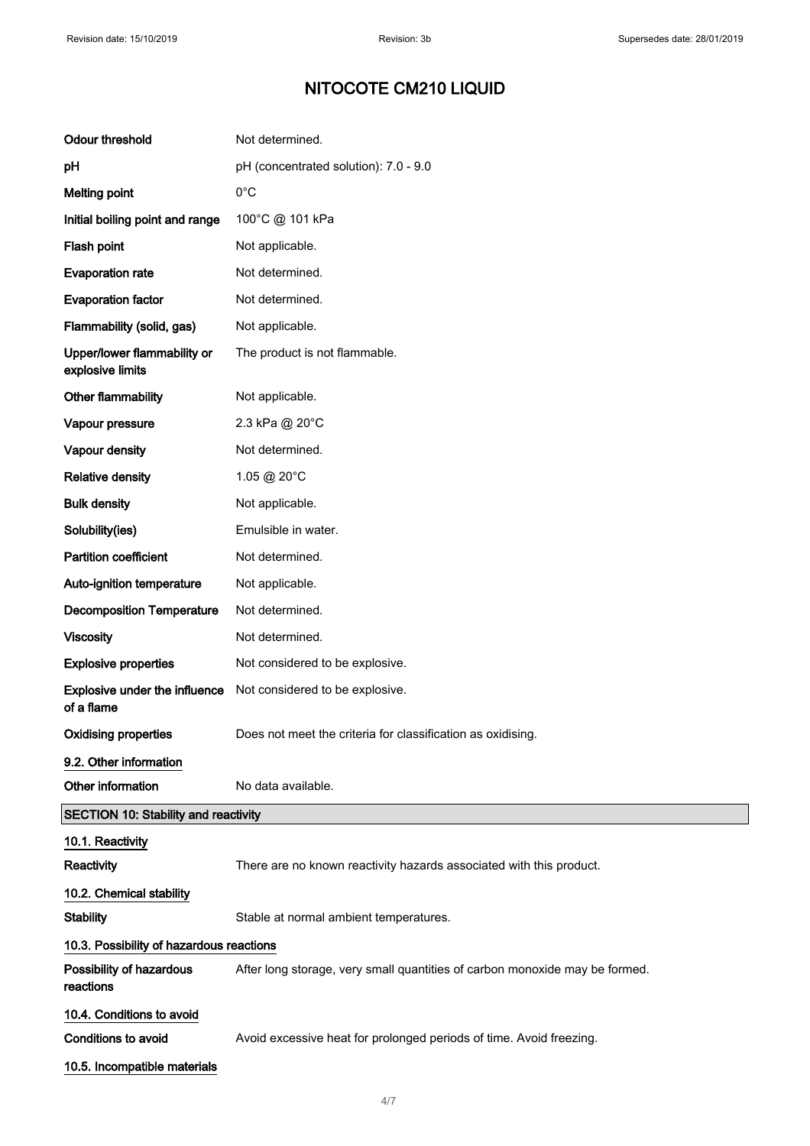| <b>Odour threshold</b>                             | Not determined.                                                             |
|----------------------------------------------------|-----------------------------------------------------------------------------|
| рH                                                 | pH (concentrated solution): 7.0 - 9.0                                       |
| <b>Melting point</b>                               | $0^{\circ}$ C                                                               |
| Initial boiling point and range                    | 100°C @ 101 kPa                                                             |
| Flash point                                        | Not applicable.                                                             |
| <b>Evaporation rate</b>                            | Not determined.                                                             |
| <b>Evaporation factor</b>                          | Not determined.                                                             |
| Flammability (solid, gas)                          | Not applicable.                                                             |
| Upper/lower flammability or<br>explosive limits    | The product is not flammable.                                               |
| <b>Other flammability</b>                          | Not applicable.                                                             |
| Vapour pressure                                    | 2.3 kPa @ 20°C                                                              |
| Vapour density                                     | Not determined.                                                             |
| <b>Relative density</b>                            | 1.05 @ 20°C                                                                 |
| <b>Bulk density</b>                                | Not applicable.                                                             |
| Solubility(ies)                                    | Emulsible in water.                                                         |
| <b>Partition coefficient</b>                       | Not determined.                                                             |
| Auto-ignition temperature                          | Not applicable.                                                             |
| <b>Decomposition Temperature</b>                   | Not determined.                                                             |
| <b>Viscosity</b>                                   | Not determined.                                                             |
| <b>Explosive properties</b>                        | Not considered to be explosive.                                             |
| <b>Explosive under the influence</b><br>of a flame | Not considered to be explosive.                                             |
| <b>Oxidising properties</b>                        | Does not meet the criteria for classification as oxidising.                 |
| 9.2. Other information                             |                                                                             |
| Other information                                  | No data available.                                                          |
| <b>SECTION 10: Stability and reactivity</b>        |                                                                             |
| 10.1. Reactivity                                   |                                                                             |
| Reactivity                                         | There are no known reactivity hazards associated with this product.         |
| 10.2. Chemical stability                           |                                                                             |
| <b>Stability</b>                                   | Stable at normal ambient temperatures.                                      |
| 10.3. Possibility of hazardous reactions           |                                                                             |
| Possibility of hazardous<br>reactions              | After long storage, very small quantities of carbon monoxide may be formed. |
| 10.4. Conditions to avoid                          |                                                                             |
| <b>Conditions to avoid</b>                         | Avoid excessive heat for prolonged periods of time. Avoid freezing.         |
| 10.5. Incompatible materials                       |                                                                             |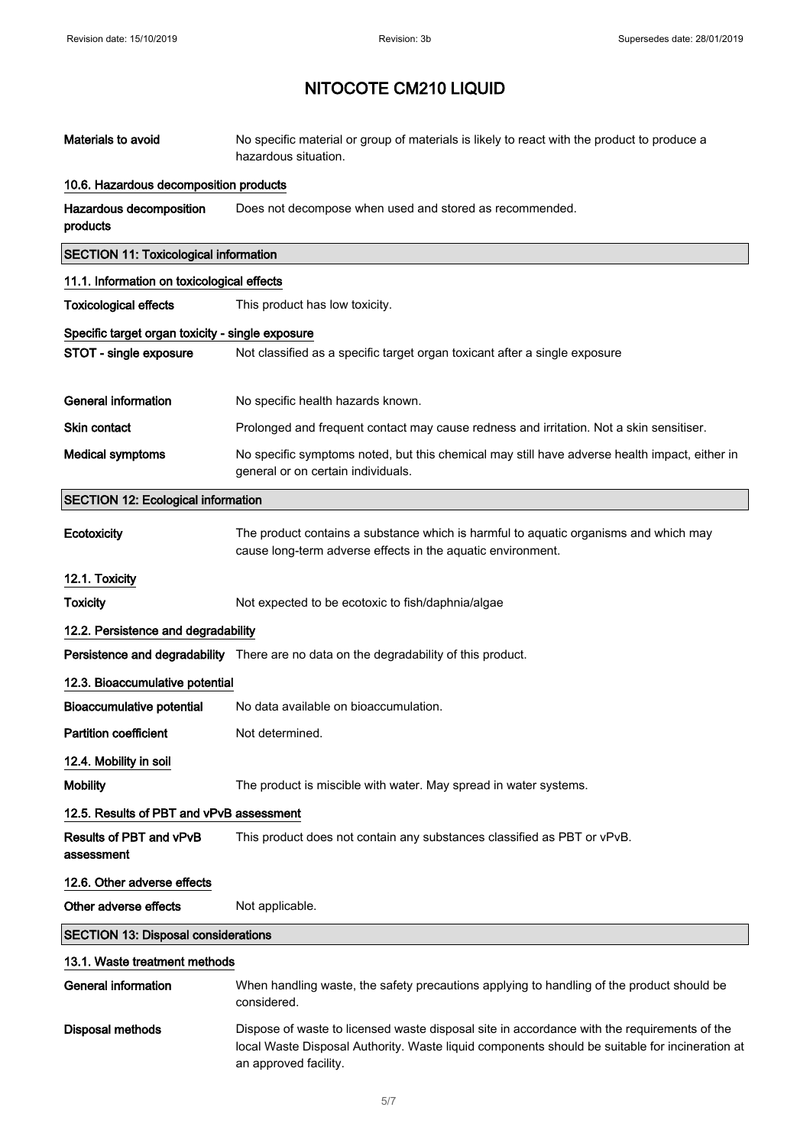| Materials to avoid                               | No specific material or group of materials is likely to react with the product to produce a<br>hazardous situation.                                                                                                    |
|--------------------------------------------------|------------------------------------------------------------------------------------------------------------------------------------------------------------------------------------------------------------------------|
| 10.6. Hazardous decomposition products           |                                                                                                                                                                                                                        |
| Hazardous decomposition<br>products              | Does not decompose when used and stored as recommended.                                                                                                                                                                |
| <b>SECTION 11: Toxicological information</b>     |                                                                                                                                                                                                                        |
| 11.1. Information on toxicological effects       |                                                                                                                                                                                                                        |
| <b>Toxicological effects</b>                     | This product has low toxicity.                                                                                                                                                                                         |
| Specific target organ toxicity - single exposure |                                                                                                                                                                                                                        |
| STOT - single exposure                           | Not classified as a specific target organ toxicant after a single exposure                                                                                                                                             |
| <b>General information</b>                       | No specific health hazards known.                                                                                                                                                                                      |
| <b>Skin contact</b>                              | Prolonged and frequent contact may cause redness and irritation. Not a skin sensitiser.                                                                                                                                |
| <b>Medical symptoms</b>                          | No specific symptoms noted, but this chemical may still have adverse health impact, either in<br>general or on certain individuals.                                                                                    |
| <b>SECTION 12: Ecological information</b>        |                                                                                                                                                                                                                        |
| Ecotoxicity                                      | The product contains a substance which is harmful to aquatic organisms and which may<br>cause long-term adverse effects in the aquatic environment.                                                                    |
| 12.1. Toxicity                                   |                                                                                                                                                                                                                        |
| <b>Toxicity</b>                                  | Not expected to be ecotoxic to fish/daphnia/algae                                                                                                                                                                      |
| 12.2. Persistence and degradability              |                                                                                                                                                                                                                        |
|                                                  | Persistence and degradability There are no data on the degradability of this product.                                                                                                                                  |
| 12.3. Bioaccumulative potential                  |                                                                                                                                                                                                                        |
| <b>Bioaccumulative potential</b>                 | No data available on bioaccumulation.                                                                                                                                                                                  |
| <b>Partition coefficient</b>                     | Not determined.                                                                                                                                                                                                        |
| 12.4. Mobility in soil                           |                                                                                                                                                                                                                        |
| <b>Mobility</b>                                  | The product is miscible with water. May spread in water systems.                                                                                                                                                       |
| 12.5. Results of PBT and vPvB assessment         |                                                                                                                                                                                                                        |
| Results of PBT and vPvB<br>assessment            | This product does not contain any substances classified as PBT or vPvB.                                                                                                                                                |
| 12.6. Other adverse effects                      |                                                                                                                                                                                                                        |
| Other adverse effects                            | Not applicable.                                                                                                                                                                                                        |
| <b>SECTION 13: Disposal considerations</b>       |                                                                                                                                                                                                                        |
| 13.1. Waste treatment methods                    |                                                                                                                                                                                                                        |
| <b>General information</b>                       | When handling waste, the safety precautions applying to handling of the product should be<br>considered.                                                                                                               |
| <b>Disposal methods</b>                          | Dispose of waste to licensed waste disposal site in accordance with the requirements of the<br>local Waste Disposal Authority. Waste liquid components should be suitable for incineration at<br>an approved facility. |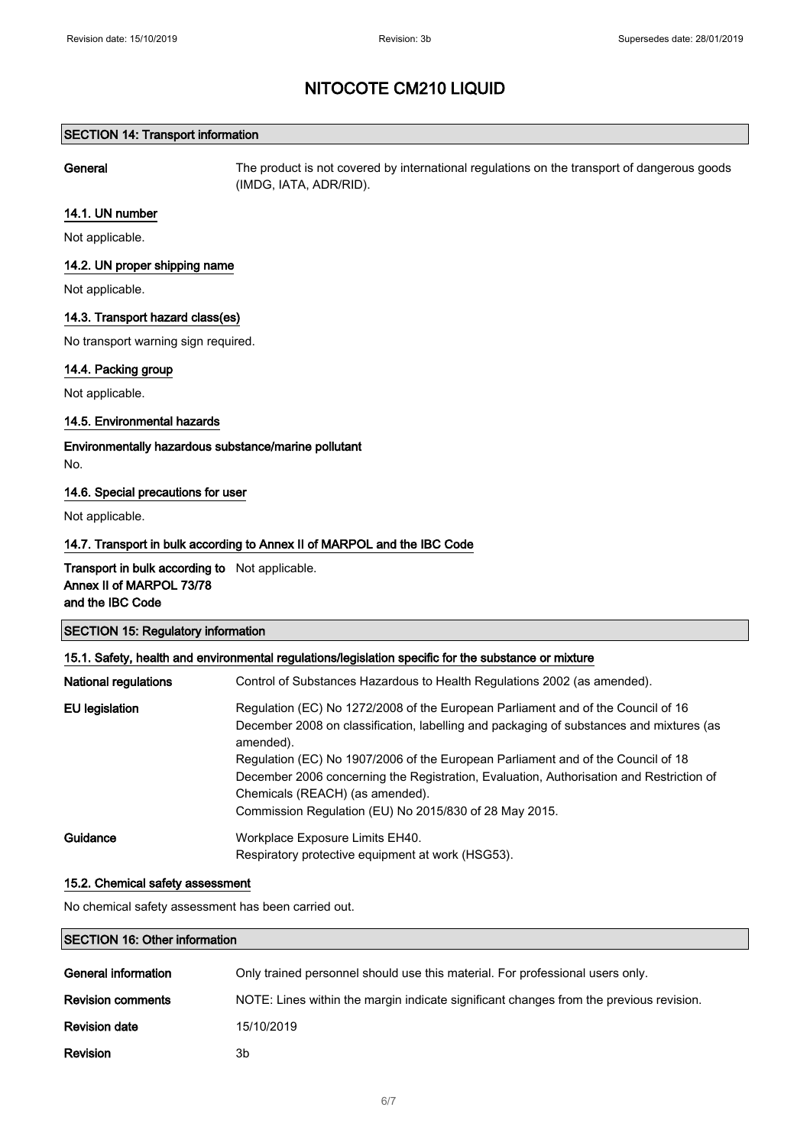### SECTION 14: Transport information

General The product is not covered by international regulations on the transport of dangerous goods (IMDG, IATA, ADR/RID).

#### 14.1. UN number

Not applicable.

## 14.2. UN proper shipping name

Not applicable.

## 14.3. Transport hazard class(es)

No transport warning sign required.

## 14.4. Packing group

Not applicable.

### 14.5. Environmental hazards

Environmentally hazardous substance/marine pollutant No.

### 14.6. Special precautions for user

Not applicable.

## 14.7. Transport in bulk according to Annex II of MARPOL and the IBC Code

## Transport in bulk according to Not applicable. Annex II of MARPOL 73/78 and the IBC Code

| <b>SECTION 15: Regulatory information</b><br>15.1. Safety, health and environmental regulations/legislation specific for the substance or mixture |                                                                                                                                                                                                                                                                                                                                                                                                                                                                      |  |
|---------------------------------------------------------------------------------------------------------------------------------------------------|----------------------------------------------------------------------------------------------------------------------------------------------------------------------------------------------------------------------------------------------------------------------------------------------------------------------------------------------------------------------------------------------------------------------------------------------------------------------|--|
|                                                                                                                                                   |                                                                                                                                                                                                                                                                                                                                                                                                                                                                      |  |
| EU legislation                                                                                                                                    | Regulation (EC) No 1272/2008 of the European Parliament and of the Council of 16<br>December 2008 on classification, labelling and packaging of substances and mixtures (as<br>amended).<br>Regulation (EC) No 1907/2006 of the European Parliament and of the Council of 18<br>December 2006 concerning the Registration, Evaluation, Authorisation and Restriction of<br>Chemicals (REACH) (as amended).<br>Commission Regulation (EU) No 2015/830 of 28 May 2015. |  |
| Guidance                                                                                                                                          | Workplace Exposure Limits EH40.<br>Respiratory protective equipment at work (HSG53).                                                                                                                                                                                                                                                                                                                                                                                 |  |

### 15.2. Chemical safety assessment

No chemical safety assessment has been carried out.

### SECTION 16: Other information

| General information      | Only trained personnel should use this material. For professional users only.          |
|--------------------------|----------------------------------------------------------------------------------------|
| <b>Revision comments</b> | NOTE: Lines within the margin indicate significant changes from the previous revision. |
| <b>Revision date</b>     | 15/10/2019                                                                             |
| Revision                 | 3b                                                                                     |